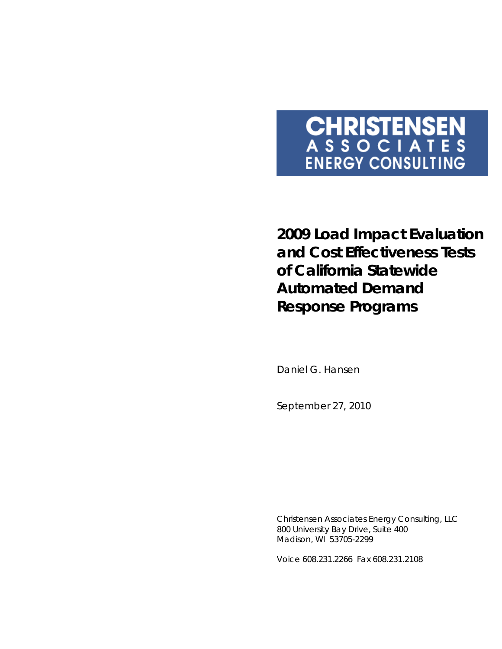# **CHRISTENSEN**<br>A S S O C I A T E S<br>ENERGY CONSULTING

**2009 Load Impact Evaluation and Cost Effectiveness Tests of California Statewide Automated Demand Response Programs** 

Daniel G. Hansen

*September 27, 2010* 

Christensen Associates Energy Consulting, LLC 800 University Bay Drive, Suite 400 Madison, WI 53705-2299

Voice 608.231.2266 Fax 608.231.2108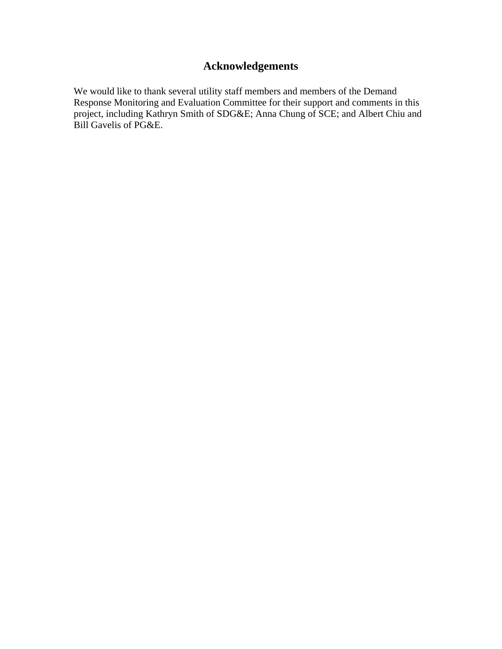# **Acknowledgements**

We would like to thank several utility staff members and members of the Demand Response Monitoring and Evaluation Committee for their support and comments in this project, including Kathryn Smith of SDG&E; Anna Chung of SCE; and Albert Chiu and Bill Gavelis of PG&E.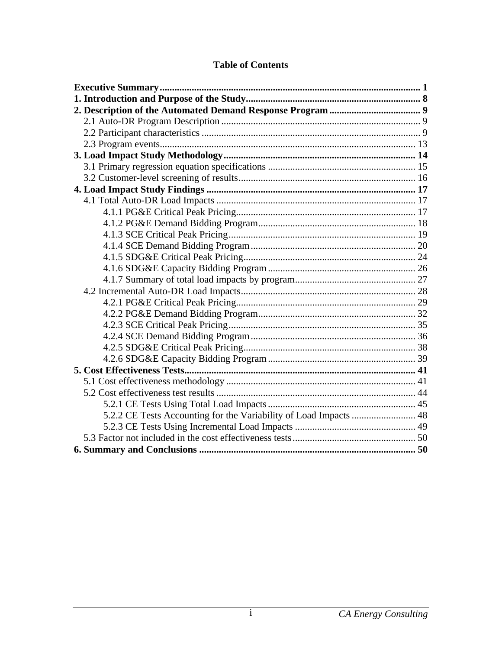| 5.2.2 CE Tests Accounting for the Variability of Load Impacts  48 |  |
|-------------------------------------------------------------------|--|
|                                                                   |  |
|                                                                   |  |
|                                                                   |  |

## **Table of Contents**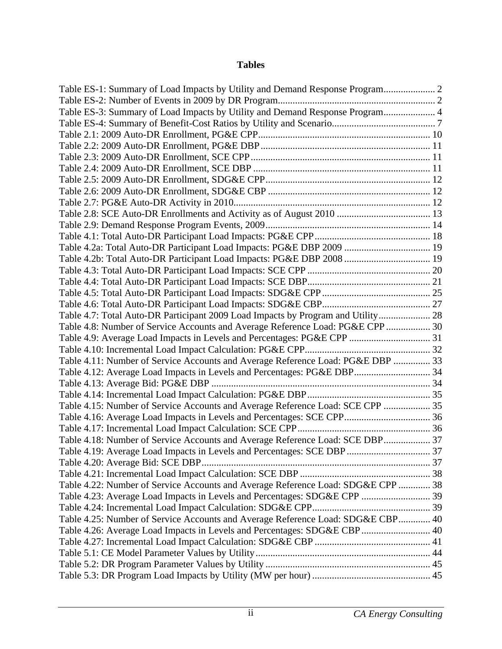## **Tables**

| Table ES-3: Summary of Load Impacts by Utility and Demand Response Program 4     |  |
|----------------------------------------------------------------------------------|--|
|                                                                                  |  |
|                                                                                  |  |
|                                                                                  |  |
|                                                                                  |  |
|                                                                                  |  |
|                                                                                  |  |
|                                                                                  |  |
|                                                                                  |  |
|                                                                                  |  |
|                                                                                  |  |
|                                                                                  |  |
| Table 4.2a: Total Auto-DR Participant Load Impacts: PG&E DBP 2009  19            |  |
| Table 4.2b: Total Auto-DR Participant Load Impacts: PG&E DBP 2008  19            |  |
|                                                                                  |  |
|                                                                                  |  |
|                                                                                  |  |
|                                                                                  |  |
| Table 4.7: Total Auto-DR Participant 2009 Load Impacts by Program and Utility 28 |  |
| Table 4.8: Number of Service Accounts and Average Reference Load: PG&E CPP 30    |  |
| Table 4.9: Average Load Impacts in Levels and Percentages: PG&E CPP  31          |  |
|                                                                                  |  |
| Table 4.11: Number of Service Accounts and Average Reference Load: PG&E DBP  33  |  |
| Table 4.12: Average Load Impacts in Levels and Percentages: PG&E DBP 34          |  |
|                                                                                  |  |
|                                                                                  |  |
| Table 4.15: Number of Service Accounts and Average Reference Load: SCE CPP  35   |  |
|                                                                                  |  |
|                                                                                  |  |
| Table 4.18: Number of Service Accounts and Average Reference Load: SCE DBP 37    |  |
| Table 4.19: Average Load Impacts in Levels and Percentages: SCE DBP  37          |  |
|                                                                                  |  |
|                                                                                  |  |
| Table 4.22: Number of Service Accounts and Average Reference Load: SDG&E CPP  38 |  |
| Table 4.23: Average Load Impacts in Levels and Percentages: SDG&E CPP  39        |  |
|                                                                                  |  |
| Table 4.25: Number of Service Accounts and Average Reference Load: SDG&E CBP 40  |  |
| Table 4.26: Average Load Impacts in Levels and Percentages: SDG&E CBP 40         |  |
|                                                                                  |  |
|                                                                                  |  |
|                                                                                  |  |
|                                                                                  |  |
|                                                                                  |  |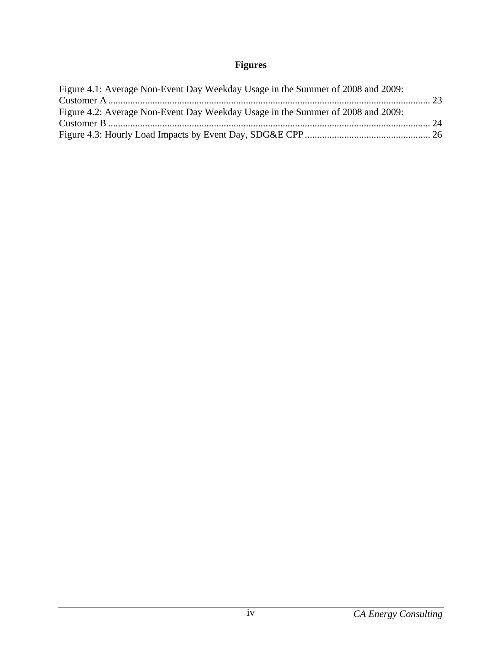# **Figures**

| Figure 4.1: Average Non-Event Day Weekday Usage in the Summer of 2008 and 2009: |  |
|---------------------------------------------------------------------------------|--|
|                                                                                 |  |
| Figure 4.2: Average Non-Event Day Weekday Usage in the Summer of 2008 and 2009: |  |
|                                                                                 |  |
|                                                                                 |  |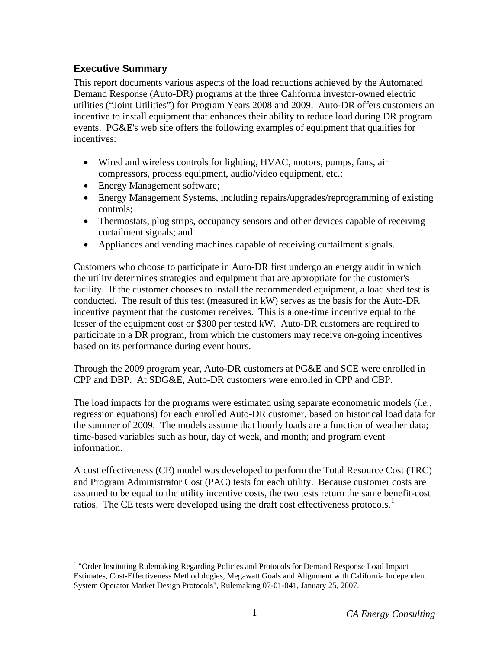## <span id="page-6-1"></span><span id="page-6-0"></span>**Executive Summary**

1

This report documents various aspects of the load reductions achieved by the Automated Demand Response (Auto-DR) programs at the three California investor-owned electric utilities ("Joint Utilities") for Program Years 2008 and 2009. Auto-DR offers customers an incentive to install equipment that enhances their ability to reduce load during DR program events. PG&E's web site offers the following examples of equipment that qualifies for incentives:

- Wired and wireless controls for lighting, HVAC, motors, pumps, fans, air compressors, process equipment, audio/video equipment, etc.;
- Energy Management software;
- Energy Management Systems, including repairs/upgrades/reprogramming of existing controls;
- Thermostats, plug strips, occupancy sensors and other devices capable of receiving curtailment signals; and
- Appliances and vending machines capable of receiving curtailment signals.

Customers who choose to participate in Auto-DR first undergo an energy audit in which the utility determines strategies and equipment that are appropriate for the customer's facility. If the customer chooses to install the recommended equipment, a load shed test is conducted. The result of this test (measured in kW) serves as the basis for the Auto-DR incentive payment that the customer receives. This is a one-time incentive equal to the lesser of the equipment cost or \$300 per tested kW. Auto-DR customers are required to participate in a DR program, from which the customers may receive on-going incentives based on its performance during event hours.

Through the 2009 program year, Auto-DR customers at PG&E and SCE were enrolled in CPP and DBP. At SDG&E, Auto-DR customers were enrolled in CPP and CBP.

The load impacts for the programs were estimated using separate econometric models (*i.e.*, regression equations) for each enrolled Auto-DR customer, based on historical load data for the summer of 2009. The models assume that hourly loads are a function of weather data; time-based variables such as hour, day of week, and month; and program event information.

A cost effectiveness (CE) model was developed to perform the Total Resource Cost (TRC) and Program Administrator Cost (PAC) tests for each utility. Because customer costs are assumed to be equal to the utility incentive costs, the two tests return the same benefit-cost ratios. The CE tests were developed using the draft cost effectiveness protocols.<sup>[1](#page-6-2)</sup>

<span id="page-6-2"></span><sup>&</sup>lt;sup>1</sup> "Order Instituting Rulemaking Regarding Policies and Protocols for Demand Response Load Impact Estimates, Cost-Effectiveness Methodologies, Megawatt Goals and Alignment with California Independent System Operator Market Design Protocols", Rulemaking 07-01-041, January 25, 2007.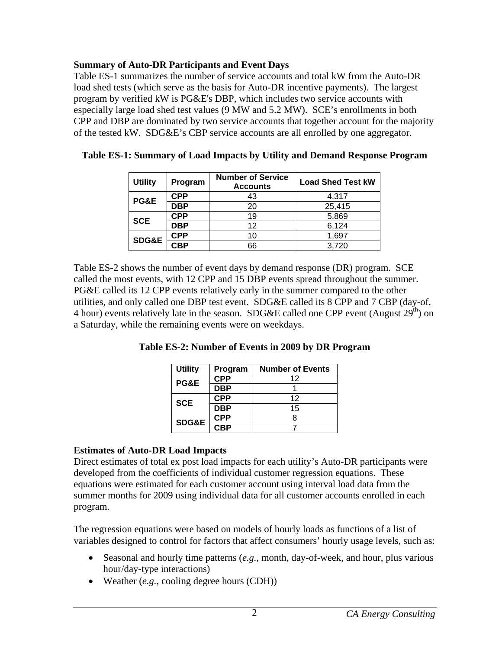## <span id="page-7-0"></span>**Summary of Auto-DR Participants and Event Days**

Table ES-1 summarizes the number of service accounts and total kW from the Auto-DR load shed tests (which serve as the basis for Auto-DR incentive payments). The largest program by verified kW is PG&E's DBP, which includes two service accounts with especially large load shed test values (9 MW and 5.2 MW). SCE's enrollments in both CPP and DBP are dominated by two service accounts that together account for the majority of the tested kW. SDG&E's CBP service accounts are all enrolled by one aggregator.

| <b>Utility</b>   | Program    | <b>Number of Service</b><br><b>Accounts</b> | <b>Load Shed Test kW</b> |
|------------------|------------|---------------------------------------------|--------------------------|
| PG&E             | <b>CPP</b> | 43                                          | 4,317                    |
|                  | <b>DBP</b> | 20                                          | 25,415                   |
| <b>SCE</b>       | CPP        | 19                                          | 5,869                    |
|                  | <b>DBP</b> | 12                                          | 6,124                    |
| <b>SDG&amp;E</b> | <b>CPP</b> | 10                                          | 1,697                    |
|                  | CBP        | 66                                          | 3,720                    |

<span id="page-7-1"></span>

<span id="page-7-2"></span>Table ES-2 shows the number of event days by demand response (DR) program. SCE called the most events, with 12 CPP and 15 DBP events spread throughout the summer. PG&E called its 12 CPP events relatively early in the summer compared to the other utilities, and only called one DBP test event. SDG&E called its 8 CPP and 7 CBP (day-of, 4 hour) events relatively late in the season. SDG&E called one CPP event (August  $29<sup>th</sup>$ ) on a Saturday, while the remaining events were on weekdays.

| <b>Utility</b>  | Program | <b>Number of Events</b> |
|-----------------|---------|-------------------------|
| <b>PG&amp;E</b> |         | 1つ                      |
|                 | DRP     |                         |
| <b>SCE</b>      | CPP.    | 12                      |
|                 |         | 15                      |

**CPP** 8 **SDG&E CBP** <sup>7</sup>

**Table ES-2: Number of Events in 2009 by DR Program** 

## **Estimates of Auto-DR Load Impacts**

Direct estimates of total ex post load impacts for each utility's Auto-DR participants were developed from the coefficients of individual customer regression equations. These equations were estimated for each customer account using interval load data from the summer months for 2009 using individual data for all customer accounts enrolled in each program.

The regression equations were based on models of hourly loads as functions of a list of variables designed to control for factors that affect consumers' hourly usage levels, such as:

- Seasonal and hourly time patterns (*e.g.*, month, day-of-week, and hour, plus various hour/day-type interactions)
- Weather (*e.g.*, cooling degree hours (CDH))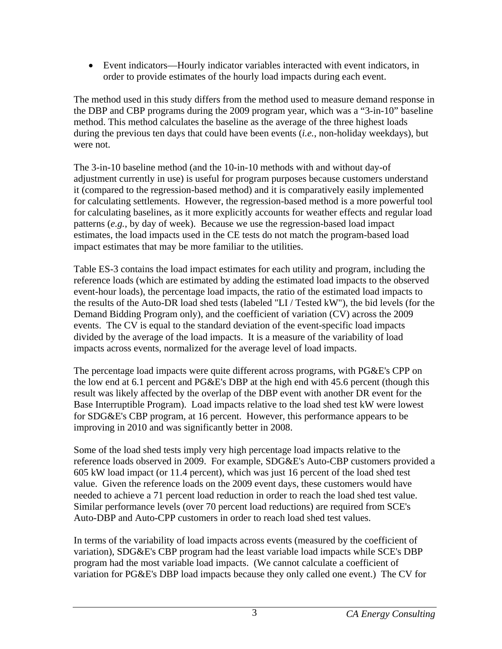• Event indicators—Hourly indicator variables interacted with event indicators, in order to provide estimates of the hourly load impacts during each event.

The method used in this study differs from the method used to measure demand response in the DBP and CBP programs during the 2009 program year, which was a "3-in-10" baseline method. This method calculates the baseline as the average of the three highest loads during the previous ten days that could have been events (*i.e.*, non-holiday weekdays), but were not.

The 3-in-10 baseline method (and the 10-in-10 methods with and without day-of adjustment currently in use) is useful for program purposes because customers understand it (compared to the regression-based method) and it is comparatively easily implemented for calculating settlements. However, the regression-based method is a more powerful tool for calculating baselines, as it more explicitly accounts for weather effects and regular load patterns (*e.g.*, by day of week). Because we use the regression-based load impact estimates, the load impacts used in the CE tests do not match the program-based load impact estimates that may be more familiar to the utilities.

Table ES-3 contains the load impact estimates for each utility and program, including the reference loads (which are estimated by adding the estimated load impacts to the observed event-hour loads), the percentage load impacts, the ratio of the estimated load impacts to the results of the Auto-DR load shed tests (labeled "LI / Tested kW"), the bid levels (for the Demand Bidding Program only), and the coefficient of variation (CV) across the 2009 events. The CV is equal to the standard deviation of the event-specific load impacts divided by the average of the load impacts. It is a measure of the variability of load impacts across events, normalized for the average level of load impacts.

The percentage load impacts were quite different across programs, with PG&E's CPP on the low end at 6.1 percent and PG&E's DBP at the high end with 45.6 percent (though this result was likely affected by the overlap of the DBP event with another DR event for the Base Interruptible Program). Load impacts relative to the load shed test kW were lowest for SDG&E's CBP program, at 16 percent. However, this performance appears to be improving in 2010 and was significantly better in 2008.

Some of the load shed tests imply very high percentage load impacts relative to the reference loads observed in 2009. For example, SDG&E's Auto-CBP customers provided a 605 kW load impact (or 11.4 percent), which was just 16 percent of the load shed test value. Given the reference loads on the 2009 event days, these customers would have needed to achieve a 71 percent load reduction in order to reach the load shed test value. Similar performance levels (over 70 percent load reductions) are required from SCE's Auto-DBP and Auto-CPP customers in order to reach load shed test values.

In terms of the variability of load impacts across events (measured by the coefficient of variation), SDG&E's CBP program had the least variable load impacts while SCE's DBP program had the most variable load impacts. (We cannot calculate a coefficient of variation for PG&E's DBP load impacts because they only called one event.) The CV for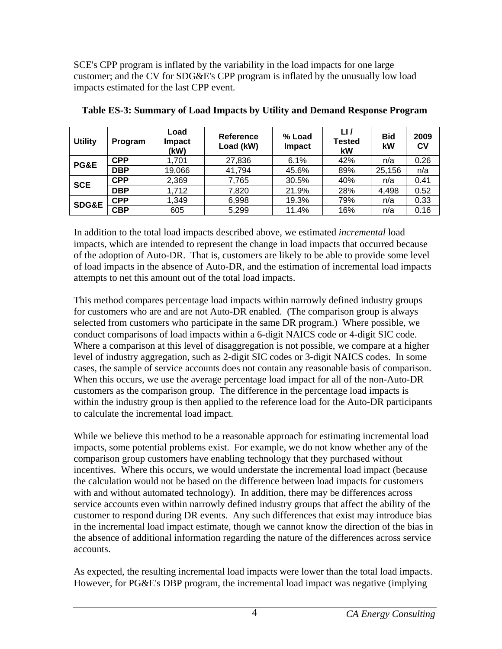<span id="page-9-0"></span>SCE's CPP program is inflated by the variability in the load impacts for one large customer; and the CV for SDG&E's CPP program is inflated by the unusually low load impacts estimated for the last CPP event.

<span id="page-9-1"></span>

| <b>Utility</b>   | Program    | Load<br><b>Impact</b><br>(kW) | <b>Reference</b><br>Load (kW) | % Load<br>Impact | LI<br><b>Tested</b><br>kW | <b>Bid</b><br>kW | 2009<br>CV |
|------------------|------------|-------------------------------|-------------------------------|------------------|---------------------------|------------------|------------|
| PG&E             | <b>CPP</b> | 1,701                         | 27,836                        | 6.1%             | 42%                       | n/a              | 0.26       |
|                  | <b>DBP</b> | 19,066                        | 41,794                        | 45.6%            | 89%                       | 25,156           | n/a        |
| <b>SCE</b>       | <b>CPP</b> | 2,369                         | 7,765                         | 30.5%            | 40%                       | n/a              | 0.41       |
|                  | <b>DBP</b> | 1,712                         | 7,820                         | 21.9%            | 28%                       | 4,498            | 0.52       |
| <b>SDG&amp;E</b> | <b>CPP</b> | 1,349                         | 6,998                         | 19.3%            | 79%                       | n/a              | 0.33       |
|                  | <b>CBP</b> | 605                           | 5,299                         | 11.4%            | 16%                       | n/a              | 0.16       |

#### **Table ES-3: Summary of Load Impacts by Utility and Demand Response Program**

In addition to the total load impacts described above, we estimated *incremental* load impacts, which are intended to represent the change in load impacts that occurred because of the adoption of Auto-DR. That is, customers are likely to be able to provide some level of load impacts in the absence of Auto-DR, and the estimation of incremental load impacts attempts to net this amount out of the total load impacts.

This method compares percentage load impacts within narrowly defined industry groups for customers who are and are not Auto-DR enabled. (The comparison group is always selected from customers who participate in the same DR program.) Where possible, we conduct comparisons of load impacts within a 6-digit NAICS code or 4-digit SIC code. Where a comparison at this level of disaggregation is not possible, we compare at a higher level of industry aggregation, such as 2-digit SIC codes or 3-digit NAICS codes. In some cases, the sample of service accounts does not contain any reasonable basis of comparison. When this occurs, we use the average percentage load impact for all of the non-Auto-DR customers as the comparison group. The difference in the percentage load impacts is within the industry group is then applied to the reference load for the Auto-DR participants to calculate the incremental load impact.

While we believe this method to be a reasonable approach for estimating incremental load impacts, some potential problems exist. For example, we do not know whether any of the comparison group customers have enabling technology that they purchased without incentives. Where this occurs, we would understate the incremental load impact (because the calculation would not be based on the difference between load impacts for customers with and without automated technology). In addition, there may be differences across service accounts even within narrowly defined industry groups that affect the ability of the customer to respond during DR events. Any such differences that exist may introduce bias in the incremental load impact estimate, though we cannot know the direction of the bias in the absence of additional information regarding the nature of the differences across service accounts.

As expected, the resulting incremental load impacts were lower than the total load impacts. However, for PG&E's DBP program, the incremental load impact was negative (implying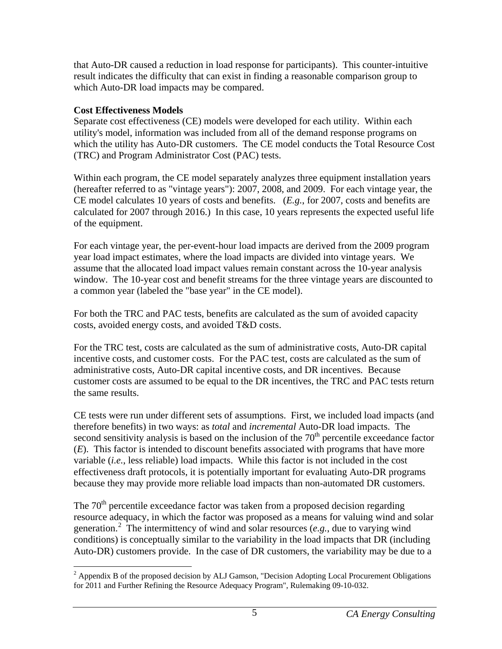that Auto-DR caused a reduction in load response for participants). This counter-intuitive result indicates the difficulty that can exist in finding a reasonable comparison group to which Auto-DR load impacts may be compared.

## **Cost Effectiveness Models**

Separate cost effectiveness (CE) models were developed for each utility. Within each utility's model, information was included from all of the demand response programs on which the utility has Auto-DR customers. The CE model conducts the Total Resource Cost (TRC) and Program Administrator Cost (PAC) tests.

Within each program, the CE model separately analyzes three equipment installation years (hereafter referred to as "vintage years"): 2007, 2008, and 2009. For each vintage year, the CE model calculates 10 years of costs and benefits. (*E.g.*, for 2007, costs and benefits are calculated for 2007 through 2016.) In this case, 10 years represents the expected useful life of the equipment.

For each vintage year, the per-event-hour load impacts are derived from the 2009 program year load impact estimates, where the load impacts are divided into vintage years. We assume that the allocated load impact values remain constant across the 10-year analysis window. The 10-year cost and benefit streams for the three vintage years are discounted to a common year (labeled the "base year" in the CE model).

For both the TRC and PAC tests, benefits are calculated as the sum of avoided capacity costs, avoided energy costs, and avoided T&D costs.

For the TRC test, costs are calculated as the sum of administrative costs, Auto-DR capital incentive costs, and customer costs. For the PAC test, costs are calculated as the sum of administrative costs, Auto-DR capital incentive costs, and DR incentives. Because customer costs are assumed to be equal to the DR incentives, the TRC and PAC tests return the same results.

CE tests were run under different sets of assumptions. First, we included load impacts (and therefore benefits) in two ways: as *total* and *incremental* Auto-DR load impacts. The second sensitivity analysis is based on the inclusion of the  $70<sup>th</sup>$  percentile exceedance factor (*E*). This factor is intended to discount benefits associated with programs that have more variable (*i.e.*, less reliable) load impacts. While this factor is not included in the cost effectiveness draft protocols, it is potentially important for evaluating Auto-DR programs because they may provide more reliable load impacts than non-automated DR customers.

The  $70<sup>th</sup>$  percentile exceedance factor was taken from a proposed decision regarding resource adequacy, in which the factor was proposed as a means for valuing wind and solar generation.<sup>[2](#page-10-0)</sup> The intermittency of wind and solar resources (*e.g.*, due to varying wind conditions) is conceptually similar to the variability in the load impacts that DR (including Auto-DR) customers provide. In the case of DR customers, the variability may be due to a

<span id="page-10-0"></span><sup>1</sup>  $2$  Appendix B of the proposed decision by ALJ Gamson, "Decision Adopting Local Procurement Obligations for 2011 and Further Refining the Resource Adequacy Program", Rulemaking 09-10-032.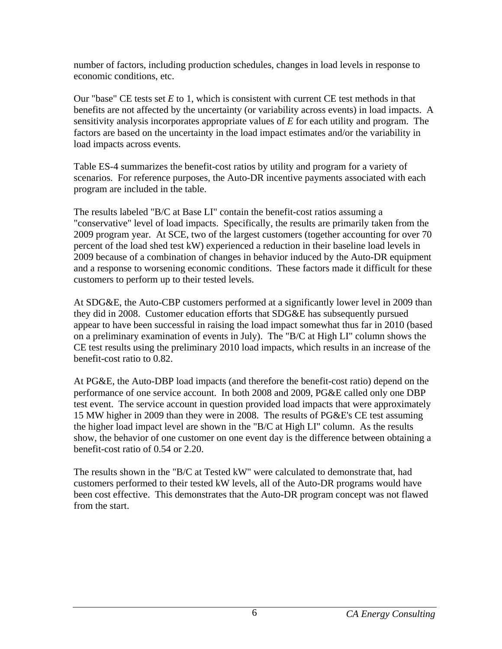number of factors, including production schedules, changes in load levels in response to economic conditions, etc.

Our "base" CE tests set *E* to 1, which is consistent with current CE test methods in that benefits are not affected by the uncertainty (or variability across events) in load impacts. A sensitivity analysis incorporates appropriate values of *E* for each utility and program. The factors are based on the uncertainty in the load impact estimates and/or the variability in load impacts across events.

Table ES-4 summarizes the benefit-cost ratios by utility and program for a variety of scenarios. For reference purposes, the Auto-DR incentive payments associated with each program are included in the table.

The results labeled "B/C at Base LI" contain the benefit-cost ratios assuming a "conservative" level of load impacts. Specifically, the results are primarily taken from the 2009 program year. At SCE, two of the largest customers (together accounting for over 70 percent of the load shed test kW) experienced a reduction in their baseline load levels in 2009 because of a combination of changes in behavior induced by the Auto-DR equipment and a response to worsening economic conditions. These factors made it difficult for these customers to perform up to their tested levels.

At SDG&E, the Auto-CBP customers performed at a significantly lower level in 2009 than they did in 2008. Customer education efforts that SDG&E has subsequently pursued appear to have been successful in raising the load impact somewhat thus far in 2010 (based on a preliminary examination of events in July). The "B/C at High LI" column shows the CE test results using the preliminary 2010 load impacts, which results in an increase of the benefit-cost ratio to 0.82.

At PG&E, the Auto-DBP load impacts (and therefore the benefit-cost ratio) depend on the performance of one service account. In both 2008 and 2009, PG&E called only one DBP test event. The service account in question provided load impacts that were approximately 15 MW higher in 2009 than they were in 2008. The results of PG&E's CE test assuming the higher load impact level are shown in the "B/C at High LI" column. As the results show, the behavior of one customer on one event day is the difference between obtaining a benefit-cost ratio of 0.54 or 2.20.

The results shown in the "B/C at Tested kW" were calculated to demonstrate that, had customers performed to their tested kW levels, all of the Auto-DR programs would have been cost effective. This demonstrates that the Auto-DR program concept was not flawed from the start.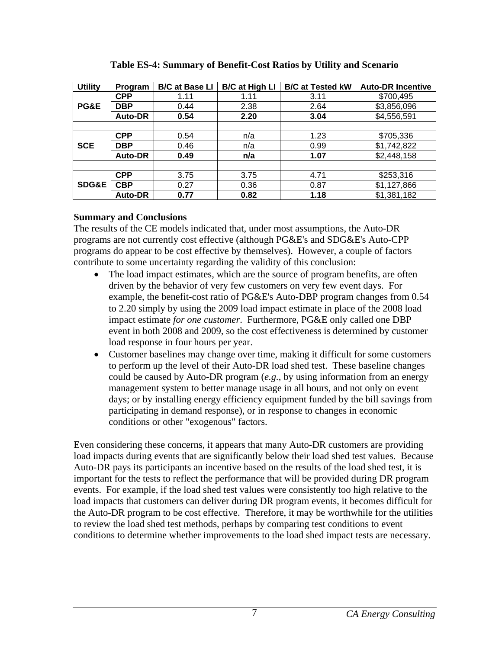<span id="page-12-1"></span><span id="page-12-0"></span>

| <b>Utility</b>   | Program        | <b>B/C at Base LI</b> | <b>B/C at High LI</b> | <b>B/C at Tested kW</b> | <b>Auto-DR Incentive</b> |
|------------------|----------------|-----------------------|-----------------------|-------------------------|--------------------------|
|                  | <b>CPP</b>     | 1.11                  | 1.11                  | 3.11                    | \$700,495                |
| PG&E             | <b>DBP</b>     | 0.44                  | 2.38                  | 2.64                    | \$3,856,096              |
|                  | Auto-DR        | 0.54                  | 2.20                  | 3.04                    | \$4,556,591              |
|                  |                |                       |                       |                         |                          |
|                  | <b>CPP</b>     | 0.54                  | n/a                   | 1.23                    | \$705,336                |
| <b>SCE</b>       | <b>DBP</b>     | 0.46                  | n/a                   | 0.99                    | \$1,742,822              |
|                  | Auto-DR        | 0.49                  | n/a                   | 1.07                    | \$2,448,158              |
|                  |                |                       |                       |                         |                          |
|                  | <b>CPP</b>     | 3.75                  | 3.75                  | 4.71                    | \$253,316                |
| <b>SDG&amp;E</b> | <b>CBP</b>     | 0.27                  | 0.36                  | 0.87                    | \$1,127,866              |
|                  | <b>Auto-DR</b> | 0.77                  | 0.82                  | 1.18                    | \$1,381,182              |

**Table ES-4: Summary of Benefit-Cost Ratios by Utility and Scenario** 

## **Summary and Conclusions**

The results of the CE models indicated that, under most assumptions, the Auto-DR programs are not currently cost effective (although PG&E's and SDG&E's Auto-CPP programs do appear to be cost effective by themselves). However, a couple of factors contribute to some uncertainty regarding the validity of this conclusion:

- The load impact estimates, which are the source of program benefits, are often driven by the behavior of very few customers on very few event days. For example, the benefit-cost ratio of PG&E's Auto-DBP program changes from 0.54 to 2.20 simply by using the 2009 load impact estimate in place of the 2008 load impact estimate *for one customer*. Furthermore, PG&E only called one DBP event in both 2008 and 2009, so the cost effectiveness is determined by customer load response in four hours per year.
- Customer baselines may change over time, making it difficult for some customers to perform up the level of their Auto-DR load shed test. These baseline changes could be caused by Auto-DR program (*e.g.*, by using information from an energy management system to better manage usage in all hours, and not only on event days; or by installing energy efficiency equipment funded by the bill savings from participating in demand response), or in response to changes in economic conditions or other "exogenous" factors.

Even considering these concerns, it appears that many Auto-DR customers are providing load impacts during events that are significantly below their load shed test values. Because Auto-DR pays its participants an incentive based on the results of the load shed test, it is important for the tests to reflect the performance that will be provided during DR program events. For example, if the load shed test values were consistently too high relative to the load impacts that customers can deliver during DR program events, it becomes difficult for the Auto-DR program to be cost effective. Therefore, it may be worthwhile for the utilities to review the load shed test methods, perhaps by comparing test conditions to event conditions to determine whether improvements to the load shed impact tests are necessary.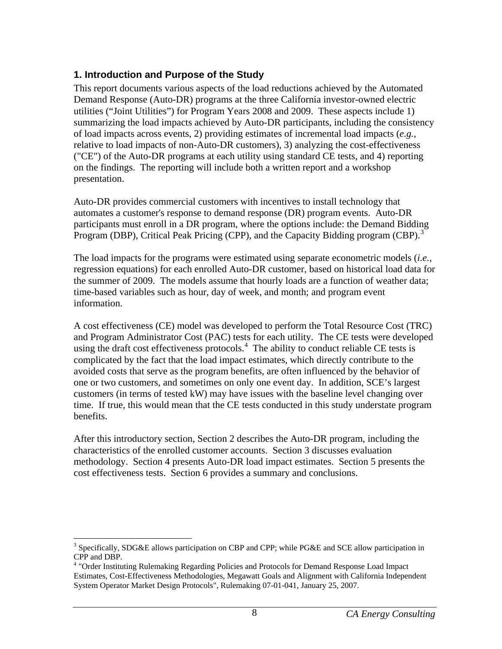## <span id="page-13-1"></span><span id="page-13-0"></span>**1. Introduction and Purpose of the Study**

This report documents various aspects of the load reductions achieved by the Automated Demand Response (Auto-DR) programs at the three California investor-owned electric utilities ("Joint Utilities") for Program Years 2008 and 2009. These aspects include 1) summarizing the load impacts achieved by Auto-DR participants, including the consistency of load impacts across events, 2) providing estimates of incremental load impacts (*e.g.*, relative to load impacts of non-Auto-DR customers), 3) analyzing the cost-effectiveness ("CE") of the Auto-DR programs at each utility using standard CE tests, and 4) reporting on the findings. The reporting will include both a written report and a workshop presentation.

Auto-DR provides commercial customers with incentives to install technology that automates a customer's response to demand response (DR) program events. Auto-DR participants must enroll in a DR program, where the options include: the Demand Bidding Program (DBP), Critical Peak Pricing (CPP), and the Capacity Bidding program (CBP).<sup>[3](#page-13-2)</sup>

The load impacts for the programs were estimated using separate econometric models (*i.e.*, regression equations) for each enrolled Auto-DR customer, based on historical load data for the summer of 2009. The models assume that hourly loads are a function of weather data; time-based variables such as hour, day of week, and month; and program event information.

A cost effectiveness (CE) model was developed to perform the Total Resource Cost (TRC) and Program Administrator Cost (PAC) tests for each utility. The CE tests were developed using the draft cost effectiveness protocols.<sup>[4](#page-13-3)</sup> The ability to conduct reliable CE tests is complicated by the fact that the load impact estimates, which directly contribute to the avoided costs that serve as the program benefits, are often influenced by the behavior of one or two customers, and sometimes on only one event day. In addition, SCE's largest customers (in terms of tested kW) may have issues with the baseline level changing over time. If true, this would mean that the CE tests conducted in this study understate program benefits.

After this introductory section, Section 2 describes the Auto-DR program, including the characteristics of the enrolled customer accounts. Section 3 discusses evaluation methodology. Section 4 presents Auto-DR load impact estimates. Section 5 presents the cost effectiveness tests. Section 6 provides a summary and conclusions.

<span id="page-13-2"></span><sup>1</sup> <sup>3</sup> Specifically, SDG&E allows participation on CBP and CPP; while PG&E and SCE allow participation in CPP and DBP.

<span id="page-13-3"></span><sup>&</sup>lt;sup>4</sup> "Order Instituting Rulemaking Regarding Policies and Protocols for Demand Response Load Impact Estimates, Cost-Effectiveness Methodologies, Megawatt Goals and Alignment with California Independent System Operator Market Design Protocols", Rulemaking 07-01-041, January 25, 2007.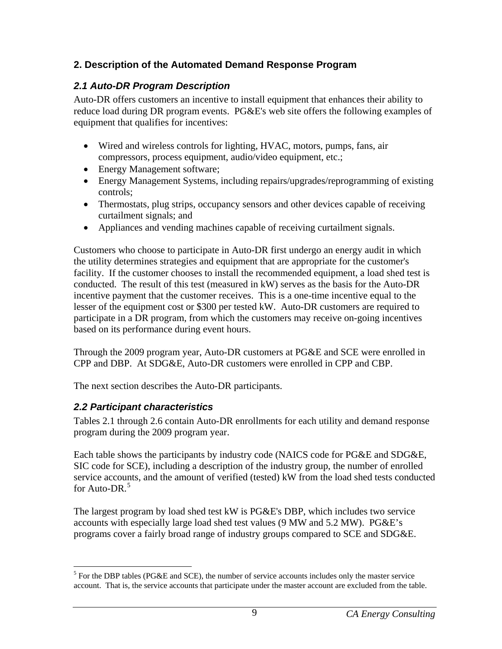# <span id="page-14-1"></span><span id="page-14-0"></span>**2. Description of the Automated Demand Response Program**

# <span id="page-14-2"></span>*2.1 Auto-DR Program Description*

Auto-DR offers customers an incentive to install equipment that enhances their ability to reduce load during DR program events. PG&E's web site offers the following examples of equipment that qualifies for incentives:

- Wired and wireless controls for lighting, HVAC, motors, pumps, fans, air compressors, process equipment, audio/video equipment, etc.;
- Energy Management software;
- Energy Management Systems, including repairs/upgrades/reprogramming of existing controls;
- Thermostats, plug strips, occupancy sensors and other devices capable of receiving curtailment signals; and
- Appliances and vending machines capable of receiving curtailment signals.

Customers who choose to participate in Auto-DR first undergo an energy audit in which the utility determines strategies and equipment that are appropriate for the customer's facility. If the customer chooses to install the recommended equipment, a load shed test is conducted. The result of this test (measured in kW) serves as the basis for the Auto-DR incentive payment that the customer receives. This is a one-time incentive equal to the lesser of the equipment cost or \$300 per tested kW. Auto-DR customers are required to participate in a DR program, from which the customers may receive on-going incentives based on its performance during event hours.

Through the 2009 program year, Auto-DR customers at PG&E and SCE were enrolled in CPP and DBP. At SDG&E, Auto-DR customers were enrolled in CPP and CBP.

The next section describes the Auto-DR participants.

# <span id="page-14-3"></span>*2.2 Participant characteristics*

Tables 2.1 through 2.6 contain Auto-DR enrollments for each utility and demand response program during the 2009 program year.

Each table shows the participants by industry code (NAICS code for PG&E and SDG&E, SIC code for SCE), including a description of the industry group, the number of enrolled service accounts, and the amount of verified (tested) kW from the load shed tests conducted for Auto-DR.<sup>[5](#page-14-4)</sup>

The largest program by load shed test kW is PG&E's DBP, which includes two service accounts with especially large load shed test values (9 MW and 5.2 MW). PG&E's programs cover a fairly broad range of industry groups compared to SCE and SDG&E.

<span id="page-14-4"></span> $\overline{a}$  $<sup>5</sup>$  For the DBP tables (PG&E and SCE), the number of service accounts includes only the master service</sup> account. That is, the service accounts that participate under the master account are excluded from the table.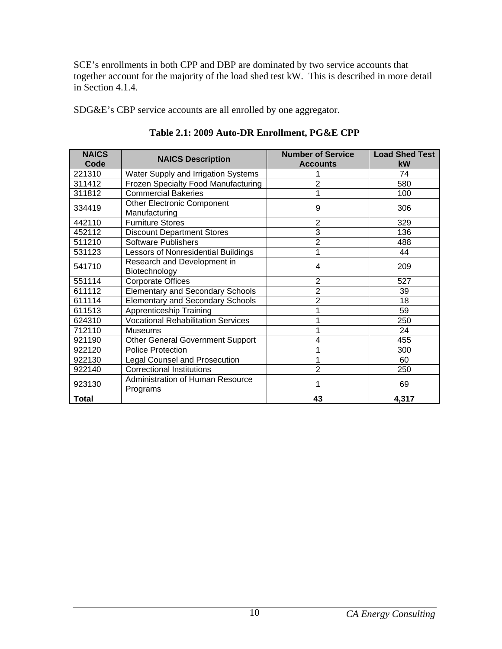<span id="page-15-0"></span>SCE's enrollments in both CPP and DBP are dominated by two service accounts that together account for the majority of the load shed test kW. This is described in more detail in Section 4.1.4.

SDG&E's CBP service accounts are all enrolled by one aggregator.

<span id="page-15-1"></span>

| <b>NAICS</b><br>Code | <b>NAICS Description</b>                           | <b>Number of Service</b><br><b>Accounts</b> | <b>Load Shed Test</b><br>kW |
|----------------------|----------------------------------------------------|---------------------------------------------|-----------------------------|
| 221310               | Water Supply and Irrigation Systems                |                                             | 74                          |
| 311412               | Frozen Specialty Food Manufacturing                | $\overline{2}$                              | 580                         |
| 311812               | <b>Commercial Bakeries</b>                         | 1                                           | 100                         |
| 334419               | <b>Other Electronic Component</b><br>Manufacturing | 9                                           | 306                         |
| 442110               | <b>Furniture Stores</b>                            | $\overline{2}$                              | 329                         |
| 452112               | <b>Discount Department Stores</b>                  | 3                                           | 136                         |
| 511210               | <b>Software Publishers</b>                         | $\overline{2}$                              | 488                         |
| 531123               | Lessors of Nonresidential Buildings                | 1                                           | 44                          |
| 541710               | Research and Development in<br>Biotechnology       | 4                                           | 209                         |
| 551114               | <b>Corporate Offices</b>                           | $\overline{2}$                              | 527                         |
| 611112               | <b>Elementary and Secondary Schools</b>            | $\overline{2}$                              | 39                          |
| 611114               | <b>Elementary and Secondary Schools</b>            | $\overline{2}$                              | 18                          |
| 611513               | Apprenticeship Training                            | 1                                           | 59                          |
| 624310               | <b>Vocational Rehabilitation Services</b>          | 1                                           | 250                         |
| 712110               | <b>Museums</b>                                     |                                             | 24                          |
| 921190               | <b>Other General Government Support</b>            | 4                                           | 455                         |
| 922120               | <b>Police Protection</b>                           | 1                                           | 300                         |
| 922130               | <b>Legal Counsel and Prosecution</b>               | 1                                           | 60                          |
| 922140               | <b>Correctional Institutions</b>                   | $\overline{2}$                              | 250                         |
| 923130               | Administration of Human Resource<br>Programs       |                                             | 69                          |
| <b>Total</b>         |                                                    | 43                                          | 4,317                       |

**Table 2.1: 2009 Auto-DR Enrollment, PG&E CPP**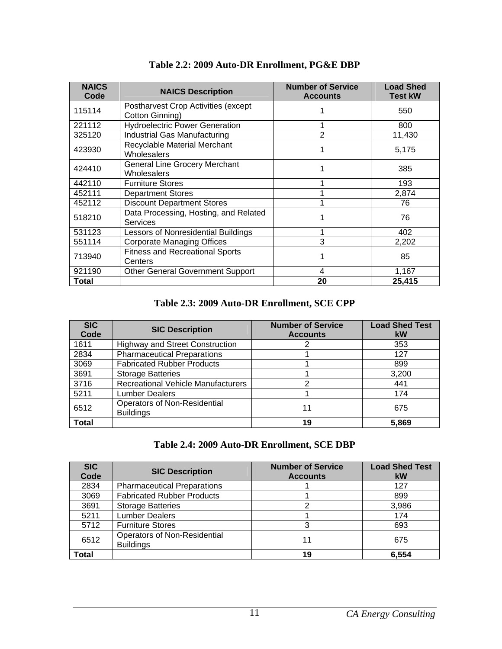<span id="page-16-1"></span><span id="page-16-0"></span>

| <b>NAICS</b><br>Code | <b>NAICS Description</b>                                   | <b>Number of Service</b><br><b>Accounts</b> | <b>Load Shed</b><br><b>Test kW</b> |
|----------------------|------------------------------------------------------------|---------------------------------------------|------------------------------------|
| 115114               | Postharvest Crop Activities (except<br>Cotton Ginning)     |                                             | 550                                |
| 221112               | <b>Hydroelectric Power Generation</b>                      |                                             | 800                                |
| 325120               | Industrial Gas Manufacturing                               | $\overline{2}$                              | 11,430                             |
| 423930               | Recyclable Material Merchant<br><b>Wholesalers</b>         |                                             | 5,175                              |
| 424410               | <b>General Line Grocery Merchant</b><br><b>Wholesalers</b> |                                             | 385                                |
| 442110               | <b>Furniture Stores</b>                                    |                                             | 193                                |
| 452111               | <b>Department Stores</b>                                   |                                             | 2,874                              |
| 452112               | <b>Discount Department Stores</b>                          |                                             | 76                                 |
| 518210               | Data Processing, Hosting, and Related<br><b>Services</b>   |                                             | 76                                 |
| 531123               | Lessors of Nonresidential Buildings                        |                                             | 402                                |
| 551114               | <b>Corporate Managing Offices</b>                          | 3                                           | 2,202                              |
| 713940               | <b>Fitness and Recreational Sports</b><br>Centers          |                                             | 85                                 |
| 921190               | <b>Other General Government Support</b>                    | 4                                           | 1,167                              |
| <b>Total</b>         |                                                            | 20                                          | 25,415                             |

**Table 2.2: 2009 Auto-DR Enrollment, PG&E DBP** 

## **Table 2.3: 2009 Auto-DR Enrollment, SCE CPP**

<span id="page-16-2"></span>

| <b>SIC</b><br>Code | <b>SIC Description</b>                           | <b>Number of Service</b><br><b>Accounts</b> | <b>Load Shed Test</b><br>kW |
|--------------------|--------------------------------------------------|---------------------------------------------|-----------------------------|
| 1611               | <b>Highway and Street Construction</b>           |                                             | 353                         |
| 2834               | <b>Pharmaceutical Preparations</b>               |                                             | 127                         |
| 3069               | <b>Fabricated Rubber Products</b>                |                                             | 899                         |
| 3691               | <b>Storage Batteries</b>                         |                                             | 3,200                       |
| 3716               | <b>Recreational Vehicle Manufacturers</b>        | 2                                           | 441                         |
| 5211               | Lumber Dealers                                   |                                             | 174                         |
| 6512               | Operators of Non-Residential<br><b>Buildings</b> | 11                                          | 675                         |
| <b>Total</b>       |                                                  | 19                                          | 5.869                       |

## **Table 2.4: 2009 Auto-DR Enrollment, SCE DBP**

<span id="page-16-3"></span>

| <b>SIC</b><br>Code | <b>SIC Description</b>                                  | <b>Number of Service</b><br><b>Accounts</b> | <b>Load Shed Test</b><br>kW |
|--------------------|---------------------------------------------------------|---------------------------------------------|-----------------------------|
| 2834               | <b>Pharmaceutical Preparations</b>                      |                                             | 127                         |
| 3069               | <b>Fabricated Rubber Products</b>                       |                                             | 899                         |
| 3691               | <b>Storage Batteries</b>                                | ⌒                                           | 3,986                       |
| 5211               | <b>Lumber Dealers</b>                                   |                                             | 174                         |
| 5712               | <b>Furniture Stores</b>                                 | 3                                           | 693                         |
| 6512               | <b>Operators of Non-Residential</b><br><b>Buildings</b> | 11                                          | 675                         |
| Total              |                                                         | 19                                          | 6.554                       |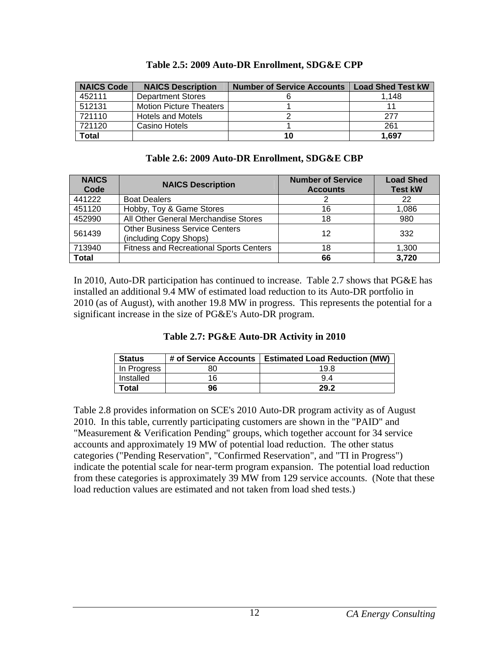<span id="page-17-1"></span><span id="page-17-0"></span>

| <b>NAICS Code</b> | <b>NAICS Description</b>       | <b>Number of Service Accounts</b> | <b>Load Shed Test kW</b> |
|-------------------|--------------------------------|-----------------------------------|--------------------------|
| 452111            | <b>Department Stores</b>       |                                   | 1.148                    |
| 512131            | <b>Motion Picture Theaters</b> |                                   |                          |
| 721110            | <b>Hotels and Motels</b>       |                                   | 277                      |
| 721120            | Casino Hotels                  |                                   | 261                      |
| <b>Total</b>      |                                | 10                                | 1.697                    |

| Table 2.5: 2009 Auto-DR Enrollment, SDG&E CPP |  |  |
|-----------------------------------------------|--|--|
|                                               |  |  |

<span id="page-17-2"></span>

| <b>NAICS</b><br>Code | <b>NAICS Description</b>                                        | <b>Number of Service</b><br><b>Accounts</b> | <b>Load Shed</b><br><b>Test kW</b> |
|----------------------|-----------------------------------------------------------------|---------------------------------------------|------------------------------------|
| 441222               | <b>Boat Dealers</b>                                             |                                             | 22                                 |
| 451120               | Hobby, Toy & Game Stores                                        | 16                                          | 1,086                              |
| 452990               | All Other General Merchandise Stores                            | 18                                          | 980                                |
| 561439               | <b>Other Business Service Centers</b><br>(including Copy Shops) | 12                                          | 332                                |
| 713940               | <b>Fitness and Recreational Sports Centers</b>                  | 18                                          | 1,300                              |
| <b>Total</b>         |                                                                 | 66                                          | 3,720                              |

<span id="page-17-3"></span>In 2010, Auto-DR participation has continued to increase. Table 2.7 shows that PG&E has installed an additional 9.4 MW of estimated load reduction to its Auto-DR portfolio in 2010 (as of August), with another 19.8 MW in progress. This represents the potential for a significant increase in the size of PG&E's Auto-DR program.

| Table 2.7: PG&E Auto-DR Activity in 2010 |  |  |  |
|------------------------------------------|--|--|--|
|                                          |  |  |  |

| <b>Status</b> | # of Service Accounts | <b>Estimated Load Reduction (MW)</b> |
|---------------|-----------------------|--------------------------------------|
| In Progress   | 80                    | 19 <sup>8</sup>                      |
| Installed     | 16                    | 94                                   |
| Total         | 96                    | 29.2                                 |

Table 2.8 provides information on SCE's 2010 Auto-DR program activity as of August 2010. In this table, currently participating customers are shown in the "PAID" and "Measurement & Verification Pending" groups, which together account for 34 service accounts and approximately 19 MW of potential load reduction. The other status categories ("Pending Reservation", "Confirmed Reservation", and "TI in Progress") indicate the potential scale for near-term program expansion. The potential load reduction from these categories is approximately 39 MW from 129 service accounts. (Note that these load reduction values are estimated and not taken from load shed tests.)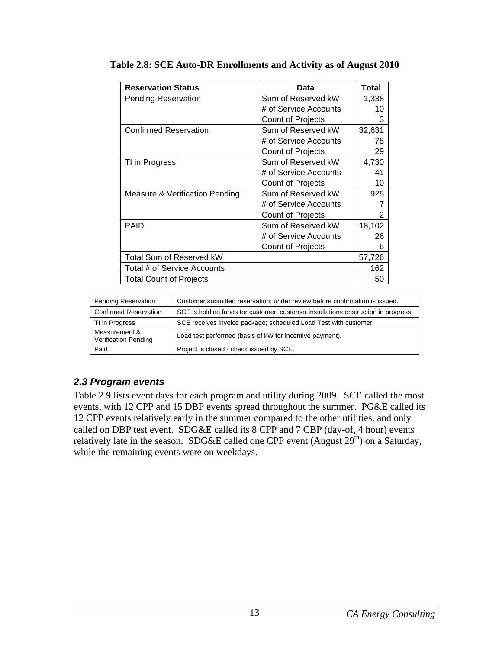| <b>Reservation Status</b>      | Data                     | Total  |
|--------------------------------|--------------------------|--------|
| <b>Pending Reservation</b>     | Sum of Reserved kW       | 1,338  |
|                                | # of Service Accounts    | 10     |
|                                | <b>Count of Projects</b> | 3      |
| <b>Confirmed Reservation</b>   | Sum of Reserved kW       | 32,631 |
|                                | # of Service Accounts    | 78     |
|                                | <b>Count of Projects</b> | 29     |
| TI in Progress                 | Sum of Reserved kW       | 4,730  |
|                                | # of Service Accounts    | 41     |
|                                | <b>Count of Projects</b> | 10     |
| Measure & Verification Pending | Sum of Reserved kW       | 925    |
|                                | # of Service Accounts    |        |
|                                | <b>Count of Projects</b> | 2      |
| <b>PAID</b>                    | Sum of Reserved kW       | 18,102 |
|                                | # of Service Accounts    | 26     |
|                                | Count of Projects        | 6      |
| Total Sum of Reserved kW       |                          |        |
| Total # of Service Accounts    |                          |        |
| <b>Total Count of Projects</b> |                          | 50     |

<span id="page-18-2"></span><span id="page-18-0"></span>

| <b>Pending Reservation</b>                   | Customer submitted reservation; under review before confirmation is issued.        |
|----------------------------------------------|------------------------------------------------------------------------------------|
| <b>Confirmed Reservation</b>                 | SCE is holding funds for customer; customer installation/construction in progress. |
| TI in Progress                               | SCE receives invoice package; scheduled Load Test with customer.                   |
| Measurement &<br><b>Verification Pending</b> | Load test performed (basis of kW for incentive payment).                           |
| Paid                                         | Project is closed - check issued by SCE.                                           |

#### <span id="page-18-1"></span>*2.3 Program events*

Table 2.9 lists event days for each program and utility during 2009. SCE called the most events, with 12 CPP and 15 DBP events spread throughout the summer. PG&E called its 12 CPP events relatively early in the summer compared to the other utilities, and only called on DBP test event. SDG&E called its 8 CPP and 7 CBP (day-of, 4 hour) events relatively late in the season. SDG&E called one CPP event (August  $29<sup>th</sup>$ ) on a Saturday, while the remaining events were on weekdays.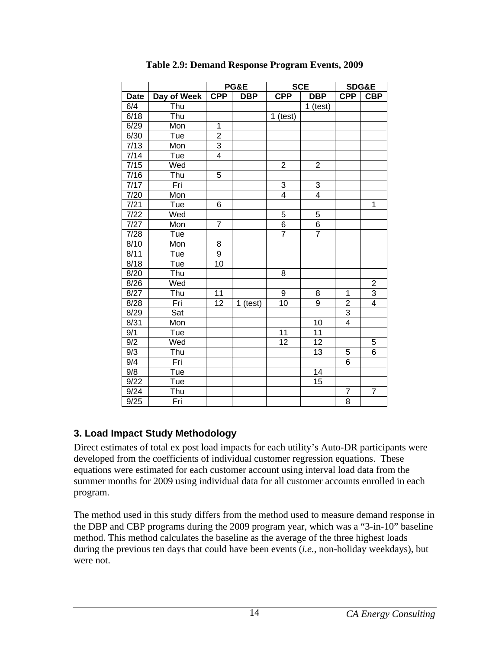<span id="page-19-2"></span><span id="page-19-0"></span>

|             |             |                | PG&E       |                | <b>SCE</b>     |                | SDG&E          |
|-------------|-------------|----------------|------------|----------------|----------------|----------------|----------------|
| <b>Date</b> | Day of Week | <b>CPP</b>     | <b>DBP</b> | <b>CPP</b>     | <b>DBP</b>     | <b>CPP</b>     | <b>CBP</b>     |
| 6/4         | Thu         |                |            |                | $1$ (test)     |                |                |
| 6/18        | Thu         |                |            | $1$ (test)     |                |                |                |
| 6/29        | Mon         | 1              |            |                |                |                |                |
| 6/30        | Tue         | $\overline{2}$ |            |                |                |                |                |
| 7/13        | Mon         | $\overline{3}$ |            |                |                |                |                |
| 7/14        | Tue         | $\overline{4}$ |            |                |                |                |                |
| 7/15        | Wed         |                |            | $\overline{2}$ | $\overline{2}$ |                |                |
| 7/16        | Thu         | 5              |            |                |                |                |                |
| 7/17        | Fri         |                |            | 3              | 3              |                |                |
| 7/20        | Mon         |                |            | 4              | 4              |                |                |
| 7/21        | Tue         | 6              |            |                |                |                | 1              |
| $7/22$      | Wed         |                |            | 5              | 5              |                |                |
| 7/27        | Mon         | $\overline{7}$ |            | $\overline{6}$ | $\overline{6}$ |                |                |
| 7/28        | Tue         |                |            | $\overline{7}$ | $\overline{7}$ |                |                |
| 8/10        | Mon         | 8              |            |                |                |                |                |
| 8/11        | Tue         | 9              |            |                |                |                |                |
| 8/18        | Tue         | 10             |            |                |                |                |                |
| 8/20        | Thu         |                |            | 8              |                |                |                |
| 8/26        | Wed         |                |            |                |                |                |                |
| 8/27        | Thu         | 11             |            | 9              | 8              | $\mathbf 1$    | $\frac{2}{3}$  |
| 8/28        | Fri         | 12             | $1$ (test) | 10             | 9              | $\overline{c}$ | $\overline{4}$ |
| 8/29        | Sat         |                |            |                |                | 3              |                |
| 8/31        | Mon         |                |            |                | 10             | 4              |                |
| 9/1         | Tue         |                |            | 11             | 11             |                |                |
| 9/2         | Wed         |                |            | 12             | 12             |                | 5              |
| 9/3         | Thu         |                |            |                | 13             | 5              | 6              |
| 9/4         | Fri         |                |            |                |                | 6              |                |
| 9/8         | Tue         |                |            |                | 14             |                |                |
| 9/22        | Tue         |                |            |                | 15             |                |                |
| 9/24        | Thu         |                |            |                |                | $\overline{7}$ | $\overline{7}$ |
| 9/25        | Fri         |                |            |                |                | 8              |                |

**Table 2.9: Demand Response Program Events, 2009** 

## <span id="page-19-1"></span>**3. Load Impact Study Methodology**

Direct estimates of total ex post load impacts for each utility's Auto-DR participants were developed from the coefficients of individual customer regression equations. These equations were estimated for each customer account using interval load data from the summer months for 2009 using individual data for all customer accounts enrolled in each program.

The method used in this study differs from the method used to measure demand response in the DBP and CBP programs during the 2009 program year, which was a "3-in-10" baseline method. This method calculates the baseline as the average of the three highest loads during the previous ten days that could have been events (*i.e.*, non-holiday weekdays), but were not.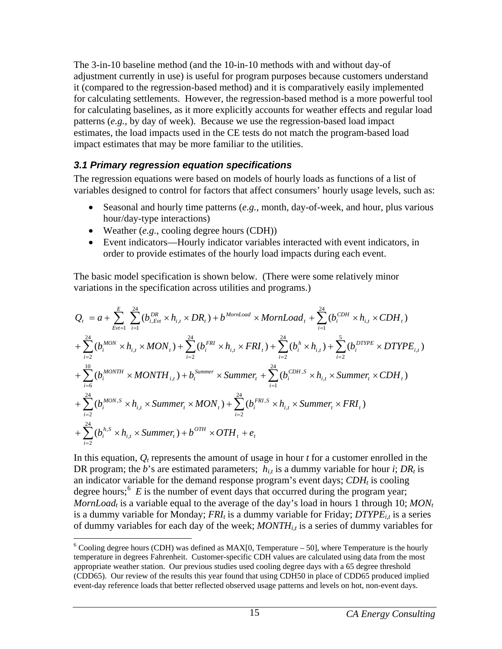<span id="page-20-0"></span>The 3-in-10 baseline method (and the 10-in-10 methods with and without day-of adjustment currently in use) is useful for program purposes because customers understand it (compared to the regression-based method) and it is comparatively easily implemented for calculating settlements. However, the regression-based method is a more powerful tool for calculating baselines, as it more explicitly accounts for weather effects and regular load patterns (*e.g.*, by day of week). Because we use the regression-based load impact estimates, the load impacts used in the CE tests do not match the program-based load impact estimates that may be more familiar to the utilities.

## <span id="page-20-1"></span>*3.1 Primary regression equation specifications*

The regression equations were based on models of hourly loads as functions of a list of variables designed to control for factors that affect consumers' hourly usage levels, such as:

- Seasonal and hourly time patterns (*e.g.*, month, day-of-week, and hour, plus various hour/day-type interactions)
- Weather (*e.g.*, cooling degree hours (CDH))

 $\overline{a}$ 

• Event indicators—Hourly indicator variables interacted with event indicators, in order to provide estimates of the hourly load impacts during each event.

The basic model specification is shown below. (There were some relatively minor variations in the specification across utilities and programs.)

$$
Q_{t} = a + \sum_{Evt=1}^{E} \sum_{i=1}^{24} (b_{i,Evt}^{DR} \times h_{i,t} \times DR_{t}) + b^{MornLoad} \times MornLoad_{t} + \sum_{i=1}^{24} (b_{i}^{CDH} \times h_{i,t} \times CDH_{t})
$$
  
+  $\sum_{i=2}^{24} (b_{i}^{MON} \times h_{i,t} \times MON_{t}) + \sum_{i=2}^{24} (b_{i}^{FRI} \times h_{i,t} \times FRI_{t}) + \sum_{i=2}^{24} (b_{i}^{h} \times h_{i,t}) + \sum_{i=2}^{5} (b_{i}^{DTYPE} \times DTYPE_{i,t})$   
+  $\sum_{i=6}^{10} (b_{i}^{MONTH} \times MONTH_{i,t}) + b_{i}^{Summer} \times Summer_{t} + \sum_{i=1}^{24} (b_{i}^{CDH,S} \times h_{i,t} \times Summer_{t} \times CDH_{t})$   
+  $\sum_{i=2}^{24} (b_{i}^{MON,S} \times h_{i,t} \times Summer_{t} \times MON_{t}) + \sum_{i=2}^{24} (b_{i}^{FRI,S} \times h_{i,t} \times Summer_{t} \times FRI_{t})$   
+  $\sum_{i=2}^{24} (b_{i}^{h,S} \times h_{i,t} \times Summer_{t}) + b^{OTH} \times OTH_{t} + e_{t}$ 

In this equation,  $Q_t$  represents the amount of usage in hour  $t$  for a customer enrolled in the DR program; the *b*'s are estimated parameters;  $h_{i,t}$  is a dummy variable for hour *i*;  $DR_t$  is an indicator variable for the demand response program's event days;  $CDH_t$  is cooling degree hours;<sup>[6](#page-20-2)</sup>  $E$  is the number of event days that occurred during the program year; *MornLoad<sub>t</sub>* is a variable equal to the average of the day's load in hours 1 through 10; *MON<sub>t</sub>* is a dummy variable for Monday;  $FRI_t$  is a dummy variable for Friday;  $DTYPE_{i,t}$  is a series of dummy variables for each day of the week;  $MONTH_{i,t}$  is a series of dummy variables for

<span id="page-20-2"></span> $6$  Cooling degree hours (CDH) was defined as MAX[0, Temperature – 50], where Temperature is the hourly temperature in degrees Fahrenheit. Customer-specific CDH values are calculated using data from the most appropriate weather station. Our previous studies used cooling degree days with a 65 degree threshold (CDD65). Our review of the results this year found that using CDH50 in place of CDD65 produced implied event-day reference loads that better reflected observed usage patterns and levels on hot, non-event days.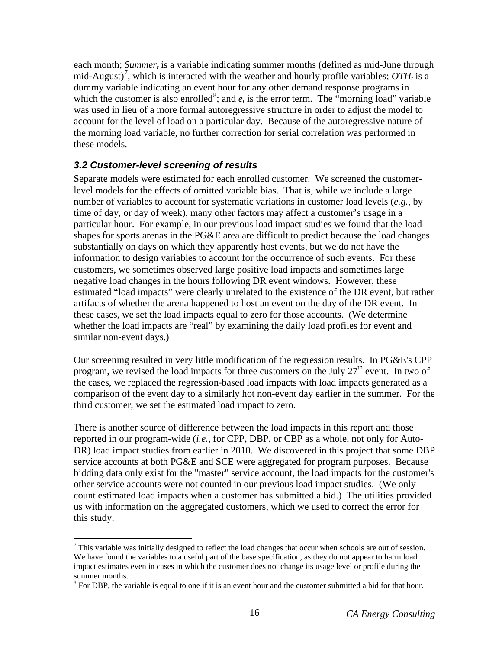<span id="page-21-0"></span>each month; *Summer<sub>t</sub>* is a variable indicating summer months (defined as mid-June through mid-August)<sup>[7](#page-21-2)</sup>, which is interacted with the weather and hourly profile variables;  $OTH<sub>t</sub>$  is a dummy variable indicating an event hour for any other demand response programs in which the customer is also enrolled<sup>[8](#page-21-3)</sup>; and  $e_t$  is the error term. The "morning load" variable was used in lieu of a more formal autoregressive structure in order to adjust the model to account for the level of load on a particular day. Because of the autoregressive nature of the morning load variable, no further correction for serial correlation was performed in these models.

## <span id="page-21-1"></span>*3.2 Customer-level screening of results*

Separate models were estimated for each enrolled customer. We screened the customerlevel models for the effects of omitted variable bias. That is, while we include a large number of variables to account for systematic variations in customer load levels (*e.g.*, by time of day, or day of week), many other factors may affect a customer's usage in a particular hour. For example, in our previous load impact studies we found that the load shapes for sports arenas in the PG&E area are difficult to predict because the load changes substantially on days on which they apparently host events, but we do not have the information to design variables to account for the occurrence of such events. For these customers, we sometimes observed large positive load impacts and sometimes large negative load changes in the hours following DR event windows. However, these estimated "load impacts" were clearly unrelated to the existence of the DR event, but rather artifacts of whether the arena happened to host an event on the day of the DR event. In these cases, we set the load impacts equal to zero for those accounts. (We determine whether the load impacts are "real" by examining the daily load profiles for event and similar non-event days.)

Our screening resulted in very little modification of the regression results. In PG&E's CPP program, we revised the load impacts for three customers on the July  $27<sup>th</sup>$  event. In two of the cases, we replaced the regression-based load impacts with load impacts generated as a comparison of the event day to a similarly hot non-event day earlier in the summer. For the third customer, we set the estimated load impact to zero.

There is another source of difference between the load impacts in this report and those reported in our program-wide (*i.e.*, for CPP, DBP, or CBP as a whole, not only for Auto-DR) load impact studies from earlier in 2010. We discovered in this project that some DBP service accounts at both PG&E and SCE were aggregated for program purposes. Because bidding data only exist for the "master" service account, the load impacts for the customer's other service accounts were not counted in our previous load impact studies. (We only count estimated load impacts when a customer has submitted a bid.) The utilities provided us with information on the aggregated customers, which we used to correct the error for this study.

<span id="page-21-2"></span> $\overline{a}$  $<sup>7</sup>$  This variable was initially designed to reflect the load changes that occur when schools are out of session.</sup> We have found the variables to a useful part of the base specification, as they do not appear to harm load impact estimates even in cases in which the customer does not change its usage level or profile during the summer months.

<span id="page-21-3"></span> $8$  For DBP, the variable is equal to one if it is an event hour and the customer submitted a bid for that hour.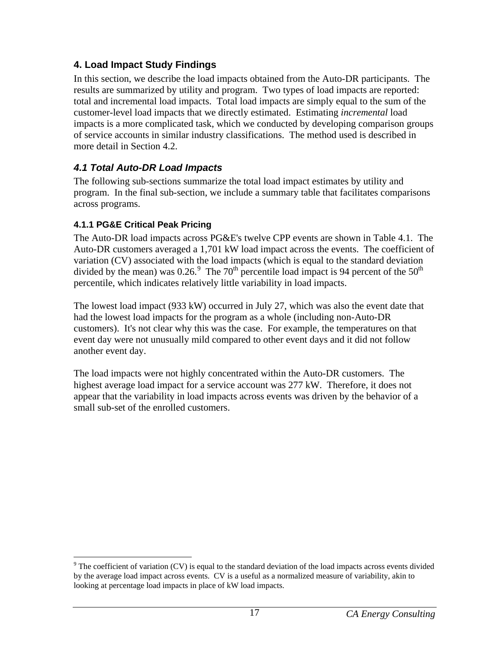# <span id="page-22-1"></span><span id="page-22-0"></span>**4. Load Impact Study Findings**

In this section, we describe the load impacts obtained from the Auto-DR participants. The results are summarized by utility and program. Two types of load impacts are reported: total and incremental load impacts. Total load impacts are simply equal to the sum of the customer-level load impacts that we directly estimated. Estimating *incremental* load impacts is a more complicated task, which we conducted by developing comparison groups of service accounts in similar industry classifications. The method used is described in more detail in Section 4.2.

# <span id="page-22-2"></span>*4.1 Total Auto-DR Load Impacts*

The following sub-sections summarize the total load impact estimates by utility and program. In the final sub-section, we include a summary table that facilitates comparisons across programs.

## <span id="page-22-3"></span>**4.1.1 PG&E Critical Peak Pricing**

The Auto-DR load impacts across PG&E's twelve CPP events are shown in Table 4.1. The Auto-DR customers averaged a 1,701 kW load impact across the events. The coefficient of variation (CV) associated with the load impacts (which is equal to the standard deviation divided by the mean) was  $0.26$ .<sup>[9](#page-22-4)</sup> The 70<sup>th</sup> percentile load impact is 94 percent of the 50<sup>th</sup> percentile, which indicates relatively little variability in load impacts.

The lowest load impact (933 kW) occurred in July 27, which was also the event date that had the lowest load impacts for the program as a whole (including non-Auto-DR customers). It's not clear why this was the case. For example, the temperatures on that event day were not unusually mild compared to other event days and it did not follow another event day.

The load impacts were not highly concentrated within the Auto-DR customers. The highest average load impact for a service account was 277 kW. Therefore, it does not appear that the variability in load impacts across events was driven by the behavior of a small sub-set of the enrolled customers.

<span id="page-22-4"></span><sup>1</sup>  $9^9$  The coefficient of variation (CV) is equal to the standard deviation of the load impacts across events divided by the average load impact across events. CV is a useful as a normalized measure of variability, akin to looking at percentage load impacts in place of kW load impacts.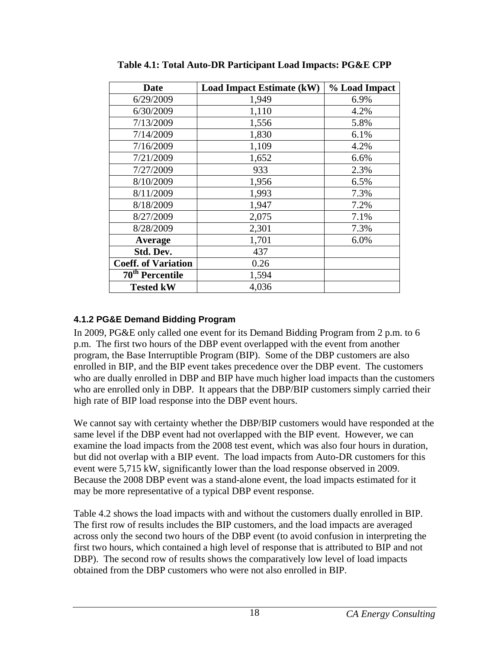<span id="page-23-2"></span>

| <b>Date</b>                 | <b>Load Impact Estimate (kW)</b> | % Load Impact |
|-----------------------------|----------------------------------|---------------|
| 6/29/2009                   | 1,949                            | 6.9%          |
| 6/30/2009                   | 1,110                            | 4.2%          |
| 7/13/2009                   | 1,556                            | 5.8%          |
| 7/14/2009                   | 1,830                            | 6.1%          |
| 7/16/2009                   | 1,109                            | 4.2%          |
| 7/21/2009                   | 1,652                            | 6.6%          |
| 7/27/2009                   | 933                              | 2.3%          |
| 8/10/2009                   | 1,956                            | 6.5%          |
| 8/11/2009                   | 1,993                            | 7.3%          |
| 8/18/2009                   | 1,947                            | 7.2%          |
| 8/27/2009                   | 2,075                            | 7.1%          |
| 8/28/2009                   | 2,301                            | 7.3%          |
| Average                     | 1,701                            | 6.0%          |
| Std. Dev.                   | 437                              |               |
| <b>Coeff. of Variation</b>  | 0.26                             |               |
| 70 <sup>th</sup> Percentile | 1,594                            |               |
| <b>Tested kW</b>            | 4,036                            |               |

<span id="page-23-0"></span>**Table 4.1: Total Auto-DR Participant Load Impacts: PG&E CPP** 

## <span id="page-23-1"></span>**4.1.2 PG&E Demand Bidding Program**

In 2009, PG&E only called one event for its Demand Bidding Program from 2 p.m. to 6 p.m. The first two hours of the DBP event overlapped with the event from another program, the Base Interruptible Program (BIP). Some of the DBP customers are also enrolled in BIP, and the BIP event takes precedence over the DBP event. The customers who are dually enrolled in DBP and BIP have much higher load impacts than the customers who are enrolled only in DBP. It appears that the DBP/BIP customers simply carried their high rate of BIP load response into the DBP event hours.

We cannot say with certainty whether the DBP/BIP customers would have responded at the same level if the DBP event had not overlapped with the BIP event. However, we can examine the load impacts from the 2008 test event, which was also four hours in duration, but did not overlap with a BIP event. The load impacts from Auto-DR customers for this event were 5,715 kW, significantly lower than the load response observed in 2009. Because the 2008 DBP event was a stand-alone event, the load impacts estimated for it may be more representative of a typical DBP event response.

Table 4.2 shows the load impacts with and without the customers dually enrolled in BIP. The first row of results includes the BIP customers, and the load impacts are averaged across only the second two hours of the DBP event (to avoid confusion in interpreting the first two hours, which contained a high level of response that is attributed to BIP and not DBP). The second row of results shows the comparatively low level of load impacts obtained from the DBP customers who were not also enrolled in BIP.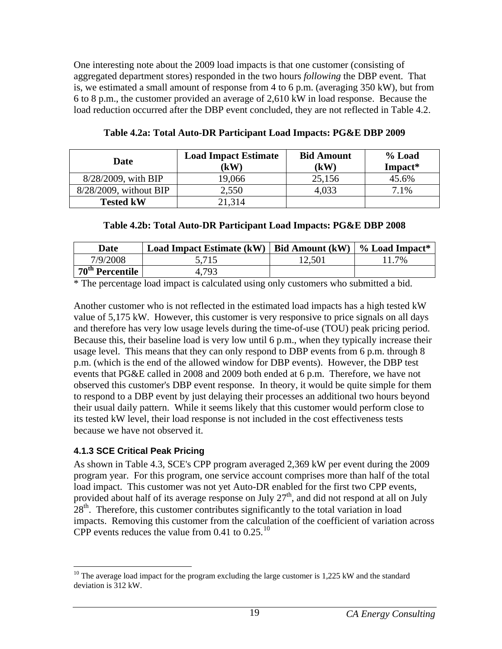<span id="page-24-0"></span>One interesting note about the 2009 load impacts is that one customer (consisting of aggregated department stores) responded in the two hours *following* the DBP event. That is, we estimated a small amount of response from 4 to 6 p.m. (averaging 350 kW), but from 6 to 8 p.m., the customer provided an average of 2,610 kW in load response. Because the load reduction occurred after the DBP event concluded, they are not reflected in Table 4.2.

<span id="page-24-2"></span>

| Date                   | <b>Load Impact Estimate</b><br>$\mathbf{K}(\mathbf{W})$ | <b>Bid Amount</b><br>(kW) | % Load<br>Impact* |
|------------------------|---------------------------------------------------------|---------------------------|-------------------|
| 8/28/2009, with BIP    | 19,066                                                  | 25,156                    | 45.6%             |
| 8/28/2009, without BIP | 2,550                                                   | 4,033                     | 7.1%              |
| <b>Tested kW</b>       | 21,314                                                  |                           |                   |

**Table 4.2a: Total Auto-DR Participant Load Impacts: PG&E DBP 2009** 

|  |  | Table 4.2b: Total Auto-DR Participant Load Impacts: PG&E DBP 2008 |
|--|--|-------------------------------------------------------------------|
|  |  |                                                                   |

<span id="page-24-3"></span>

| <b>Date</b>                        | Load Impact Estimate $(kW)$   Bid Amount $(kW)$ |        | $\frac{1}{2}$ $\%$ Load Impact* |
|------------------------------------|-------------------------------------------------|--------|---------------------------------|
| 7/9/2008                           | 5,715                                           | 12,501 | .7%                             |
| $\mid$ 70 <sup>th</sup> Percentile | 4.793                                           |        |                                 |

\* The percentage load impact is calculated using only customers who submitted a bid.

Another customer who is not reflected in the estimated load impacts has a high tested kW value of 5,175 kW. However, this customer is very responsive to price signals on all days and therefore has very low usage levels during the time-of-use (TOU) peak pricing period. Because this, their baseline load is very low until 6 p.m., when they typically increase their usage level. This means that they can only respond to DBP events from 6 p.m. through 8 p.m. (which is the end of the allowed window for DBP events). However, the DBP test events that PG&E called in 2008 and 2009 both ended at 6 p.m. Therefore, we have not observed this customer's DBP event response. In theory, it would be quite simple for them to respond to a DBP event by just delaying their processes an additional two hours beyond their usual daily pattern. While it seems likely that this customer would perform close to its tested kW level, their load response is not included in the cost effectiveness tests because we have not observed it.

## <span id="page-24-1"></span>**4.1.3 SCE Critical Peak Pricing**

As shown in Table 4.3, SCE's CPP program averaged 2,369 kW per event during the 2009 program year. For this program, one service account comprises more than half of the total load impact. This customer was not yet Auto-DR enabled for the first two CPP events, provided about half of its average response on July  $27<sup>th</sup>$ , and did not respond at all on July  $28<sup>th</sup>$ . Therefore, this customer contributes significantly to the total variation in load impacts. Removing this customer from the calculation of the coefficient of variation across CPP events reduces the value from  $0.41$  to  $0.25$ .<sup>10</sup>

<span id="page-24-4"></span> $\overline{a}$ <sup>10</sup> The average load impact for the program excluding the large customer is  $1,225$  kW and the standard deviation is 312 kW.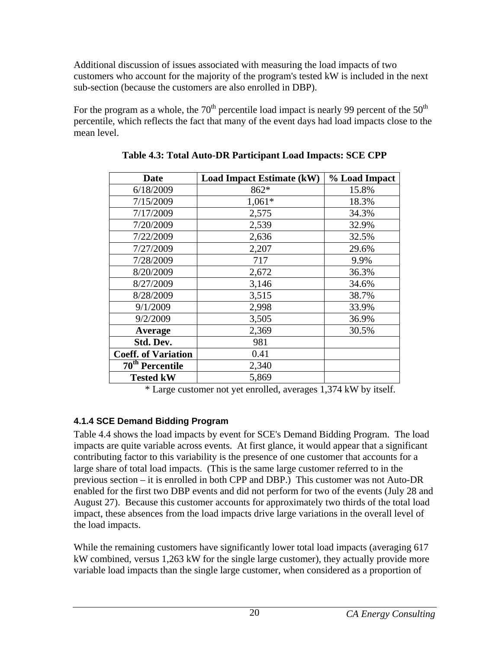<span id="page-25-0"></span>Additional discussion of issues associated with measuring the load impacts of two customers who account for the majority of the program's tested kW is included in the next sub-section (because the customers are also enrolled in DBP).

<span id="page-25-2"></span>For the program as a whole, the  $70<sup>th</sup>$  percentile load impact is nearly 99 percent of the  $50<sup>th</sup>$ percentile, which reflects the fact that many of the event days had load impacts close to the mean level.

| Date                        | <b>Load Impact Estimate (kW)</b> | % Load Impact |
|-----------------------------|----------------------------------|---------------|
| 6/18/2009                   | 862*                             | 15.8%         |
| 7/15/2009                   | $1,061*$                         | 18.3%         |
| 7/17/2009                   | 2,575                            | 34.3%         |
| 7/20/2009                   | 2,539                            | 32.9%         |
| 7/22/2009                   | 2,636                            | 32.5%         |
| 7/27/2009                   | 2,207                            | 29.6%         |
| 7/28/2009                   | 717                              | 9.9%          |
| 8/20/2009                   | 2,672                            | 36.3%         |
| 8/27/2009                   | 3,146                            | 34.6%         |
| 8/28/2009                   | 3,515                            | 38.7%         |
| 9/1/2009                    | 2,998                            | 33.9%         |
| 9/2/2009                    | 3,505                            | 36.9%         |
| Average                     | 2,369                            | 30.5%         |
| Std. Dev.                   | 981                              |               |
| <b>Coeff. of Variation</b>  | 0.41                             |               |
| 70 <sup>th</sup> Percentile | 2,340                            |               |
| <b>Tested kW</b>            | 5,869                            |               |

**Table 4.3: Total Auto-DR Participant Load Impacts: SCE CPP** 

\* Large customer not yet enrolled, averages 1,374 kW by itself.

# <span id="page-25-1"></span>**4.1.4 SCE Demand Bidding Program**

Table 4.4 shows the load impacts by event for SCE's Demand Bidding Program. The load impacts are quite variable across events. At first glance, it would appear that a significant contributing factor to this variability is the presence of one customer that accounts for a large share of total load impacts. (This is the same large customer referred to in the previous section – it is enrolled in both CPP and DBP.) This customer was not Auto-DR enabled for the first two DBP events and did not perform for two of the events (July 28 and August 27). Because this customer accounts for approximately two thirds of the total load impact, these absences from the load impacts drive large variations in the overall level of the load impacts.

While the remaining customers have significantly lower total load impacts (averaging 617 kW combined, versus 1,263 kW for the single large customer), they actually provide more variable load impacts than the single large customer, when considered as a proportion of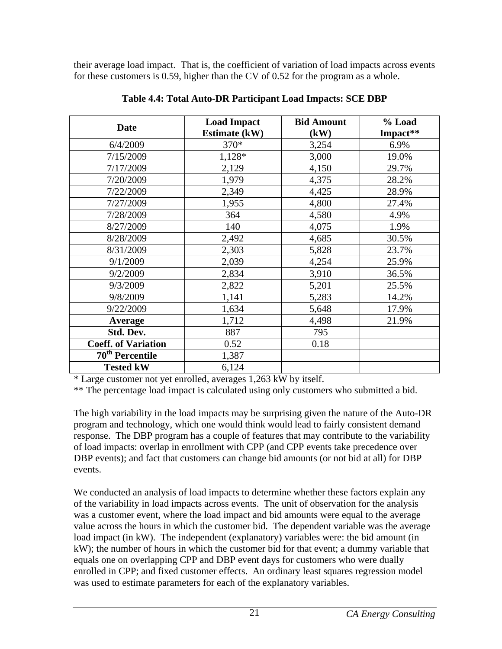<span id="page-26-0"></span>their average load impact. That is, the coefficient of variation of load impacts across events for these customers is 0.59, higher than the CV of 0.52 for the program as a whole.

<span id="page-26-1"></span>

| <b>Date</b>                 | <b>Load Impact</b>   | <b>Bid Amount</b> | % Load   |
|-----------------------------|----------------------|-------------------|----------|
|                             | <b>Estimate (kW)</b> | (kW)              | Impact** |
| 6/4/2009                    | 370*                 | 3,254             | 6.9%     |
| 7/15/2009                   | $1,128*$             | 3,000             | 19.0%    |
| 7/17/2009                   | 2,129                | 4,150             | 29.7%    |
| 7/20/2009                   | 1,979                | 4,375             | 28.2%    |
| 7/22/2009                   | 2,349                | 4,425             | 28.9%    |
| 7/27/2009                   | 1,955                | 4,800             | 27.4%    |
| 7/28/2009                   | 364                  | 4,580             | 4.9%     |
| 8/27/2009                   | 140                  | 4,075             | 1.9%     |
| 8/28/2009                   | 2,492                | 4,685             | 30.5%    |
| 8/31/2009                   | 2,303                | 5,828             | 23.7%    |
| 9/1/2009                    | 2,039                | 4,254             | 25.9%    |
| 9/2/2009                    | 2,834                | 3,910             | 36.5%    |
| 9/3/2009                    | 2,822                | 5,201             | 25.5%    |
| 9/8/2009                    | 1,141                | 5,283             | 14.2%    |
| 9/22/2009                   | 1,634                | 5,648             | 17.9%    |
| Average                     | 1,712                | 4,498             | 21.9%    |
| Std. Dev.                   | 887                  | 795               |          |
| <b>Coeff. of Variation</b>  | 0.52                 | 0.18              |          |
| 70 <sup>th</sup> Percentile | 1,387                |                   |          |
| <b>Tested kW</b>            | 6,124                |                   |          |

**Table 4.4: Total Auto-DR Participant Load Impacts: SCE DBP** 

\* Large customer not yet enrolled, averages 1,263 kW by itself.

\*\* The percentage load impact is calculated using only customers who submitted a bid.

The high variability in the load impacts may be surprising given the nature of the Auto-DR program and technology, which one would think would lead to fairly consistent demand response. The DBP program has a couple of features that may contribute to the variability of load impacts: overlap in enrollment with CPP (and CPP events take precedence over DBP events); and fact that customers can change bid amounts (or not bid at all) for DBP events.

We conducted an analysis of load impacts to determine whether these factors explain any of the variability in load impacts across events. The unit of observation for the analysis was a customer event, where the load impact and bid amounts were equal to the average value across the hours in which the customer bid. The dependent variable was the average load impact (in kW). The independent (explanatory) variables were: the bid amount (in kW); the number of hours in which the customer bid for that event; a dummy variable that equals one on overlapping CPP and DBP event days for customers who were dually enrolled in CPP; and fixed customer effects. An ordinary least squares regression model was used to estimate parameters for each of the explanatory variables.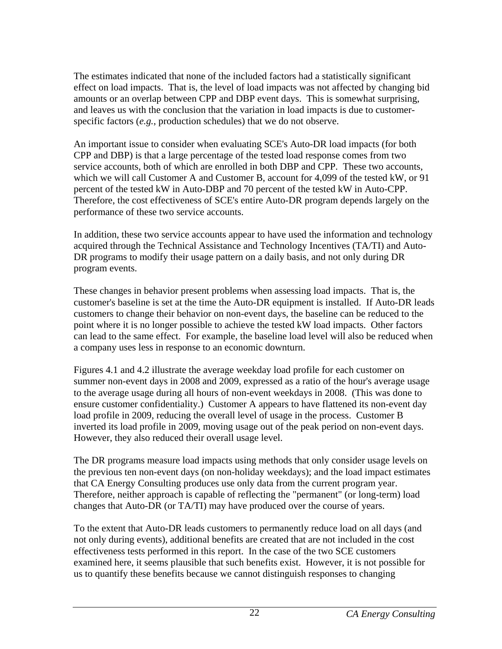The estimates indicated that none of the included factors had a statistically significant effect on load impacts. That is, the level of load impacts was not affected by changing bid amounts or an overlap between CPP and DBP event days. This is somewhat surprising, and leaves us with the conclusion that the variation in load impacts is due to customerspecific factors (*e.g.*, production schedules) that we do not observe.

An important issue to consider when evaluating SCE's Auto-DR load impacts (for both CPP and DBP) is that a large percentage of the tested load response comes from two service accounts, both of which are enrolled in both DBP and CPP. These two accounts, which we will call Customer A and Customer B, account for 4,099 of the tested kW, or 91 percent of the tested kW in Auto-DBP and 70 percent of the tested kW in Auto-CPP. Therefore, the cost effectiveness of SCE's entire Auto-DR program depends largely on the performance of these two service accounts.

In addition, these two service accounts appear to have used the information and technology acquired through the Technical Assistance and Technology Incentives (TA/TI) and Auto-DR programs to modify their usage pattern on a daily basis, and not only during DR program events.

These changes in behavior present problems when assessing load impacts. That is, the customer's baseline is set at the time the Auto-DR equipment is installed. If Auto-DR leads customers to change their behavior on non-event days, the baseline can be reduced to the point where it is no longer possible to achieve the tested kW load impacts. Other factors can lead to the same effect. For example, the baseline load level will also be reduced when a company uses less in response to an economic downturn.

Figures 4.1 and 4.2 illustrate the average weekday load profile for each customer on summer non-event days in 2008 and 2009, expressed as a ratio of the hour's average usage to the average usage during all hours of non-event weekdays in 2008. (This was done to ensure customer confidentiality.) Customer A appears to have flattened its non-event day load profile in 2009, reducing the overall level of usage in the process. Customer B inverted its load profile in 2009, moving usage out of the peak period on non-event days. However, they also reduced their overall usage level.

The DR programs measure load impacts using methods that only consider usage levels on the previous ten non-event days (on non-holiday weekdays); and the load impact estimates that CA Energy Consulting produces use only data from the current program year. Therefore, neither approach is capable of reflecting the "permanent" (or long-term) load changes that Auto-DR (or TA/TI) may have produced over the course of years.

To the extent that Auto-DR leads customers to permanently reduce load on all days (and not only during events), additional benefits are created that are not included in the cost effectiveness tests performed in this report. In the case of the two SCE customers examined here, it seems plausible that such benefits exist. However, it is not possible for us to quantify these benefits because we cannot distinguish responses to changing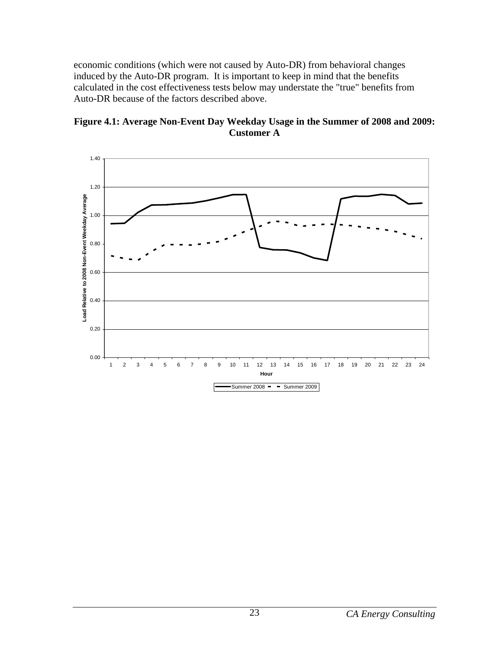<span id="page-28-0"></span>economic conditions (which were not caused by Auto-DR) from behavioral changes induced by the Auto-DR program. It is important to keep in mind that the benefits calculated in the cost effectiveness tests below may understate the "true" benefits from Auto-DR because of the factors described above.



<span id="page-28-1"></span>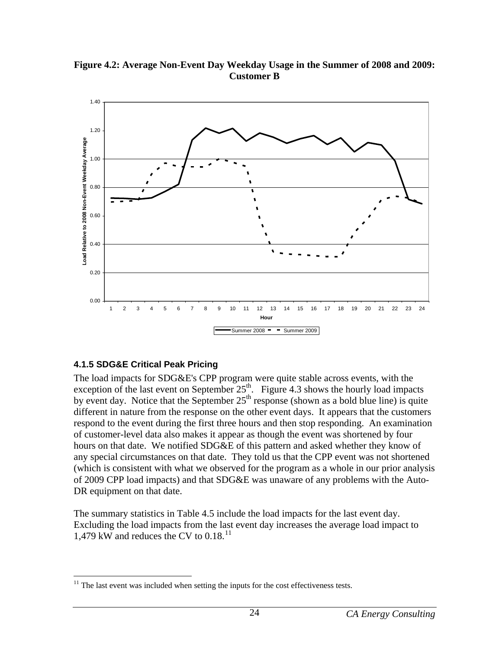<span id="page-29-2"></span>

<span id="page-29-0"></span>**Figure 4.2: Average Non-Event Day Weekday Usage in the Summer of 2008 and 2009: Customer B** 

## <span id="page-29-1"></span>**4.1.5 SDG&E Critical Peak Pricing**

The load impacts for SDG&E's CPP program were quite stable across events, with the exception of the last event on September  $25<sup>th</sup>$ . Figure 4.3 shows the hourly load impacts by event day. Notice that the September  $25<sup>th</sup>$  response (shown as a bold blue line) is quite different in nature from the response on the other event days. It appears that the customers respond to the event during the first three hours and then stop responding. An examination of customer-level data also makes it appear as though the event was shortened by four hours on that date. We notified SDG&E of this pattern and asked whether they know of any special circumstances on that date. They told us that the CPP event was not shortened (which is consistent with what we observed for the program as a whole in our prior analysis of 2009 CPP load impacts) and that SDG&E was unaware of any problems with the Auto-DR equipment on that date.

The summary statistics in Table 4.5 include the load impacts for the last event day. Excluding the load impacts from the last event day increases the average load impact to 1,479 kW and reduces the CV to  $0.18$ <sup>11</sup>

<span id="page-29-3"></span> $\overline{a}$  $11$  The last event was included when setting the inputs for the cost effectiveness tests.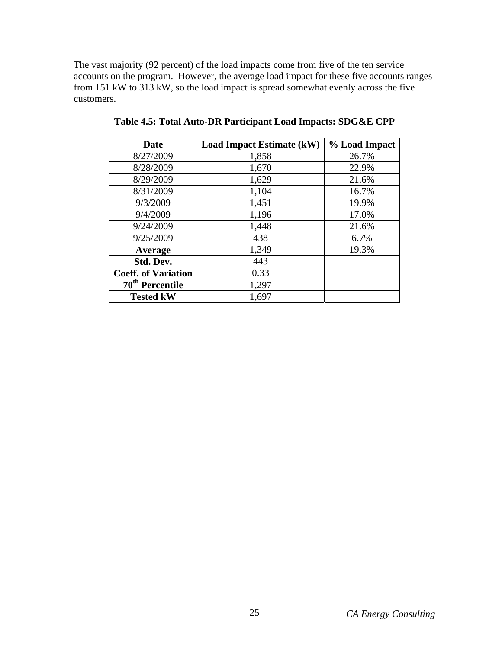<span id="page-30-1"></span><span id="page-30-0"></span>The vast majority (92 percent) of the load impacts come from five of the ten service accounts on the program. However, the average load impact for these five accounts ranges from 151 kW to 313 kW, so the load impact is spread somewhat evenly across the five customers.

| <b>Date</b>                | <b>Load Impact Estimate (kW)</b> | % Load Impact |
|----------------------------|----------------------------------|---------------|
| 8/27/2009                  | 1,858                            | 26.7%         |
| 8/28/2009                  | 1,670                            | 22.9%         |
| 8/29/2009                  | 1,629                            | 21.6%         |
| 8/31/2009                  | 1,104                            | 16.7%         |
| 9/3/2009                   | 1,451                            | 19.9%         |
| 9/4/2009                   | 1,196                            | 17.0%         |
| 9/24/2009                  | 1,448                            | 21.6%         |
| 9/25/2009                  | 438                              | 6.7%          |
| Average                    | 1,349                            | 19.3%         |
| Std. Dev.                  | 443                              |               |
| <b>Coeff. of Variation</b> | 0.33                             |               |
| $70th$ Percentile          | 1,297                            |               |
| <b>Tested kW</b>           | 1,697                            |               |

**Table 4.5: Total Auto-DR Participant Load Impacts: SDG&E CPP**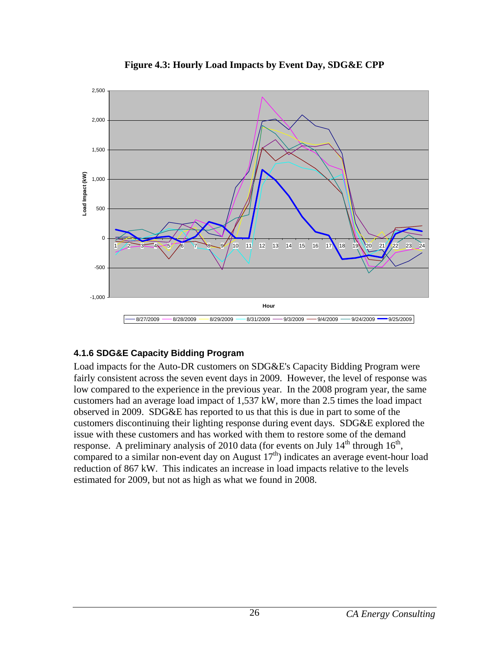<span id="page-31-2"></span><span id="page-31-0"></span>

**Figure 4.3: Hourly Load Impacts by Event Day, SDG&E CPP** 

# <span id="page-31-1"></span>**4.1.6 SDG&E Capacity Bidding Program**

Load impacts for the Auto-DR customers on SDG&E's Capacity Bidding Program were fairly consistent across the seven event days in 2009. However, the level of response was low compared to the experience in the previous year. In the 2008 program year, the same customers had an average load impact of 1,537 kW, more than 2.5 times the load impact observed in 2009. SDG&E has reported to us that this is due in part to some of the customers discontinuing their lighting response during event days. SDG&E explored the issue with these customers and has worked with them to restore some of the demand response. A preliminary analysis of 2010 data (for events on July  $14<sup>th</sup>$  through  $16<sup>th</sup>$ , compared to a similar non-event day on August  $17<sup>th</sup>$ ) indicates an average event-hour load reduction of 867 kW. This indicates an increase in load impacts relative to the levels estimated for 2009, but not as high as what we found in 2008.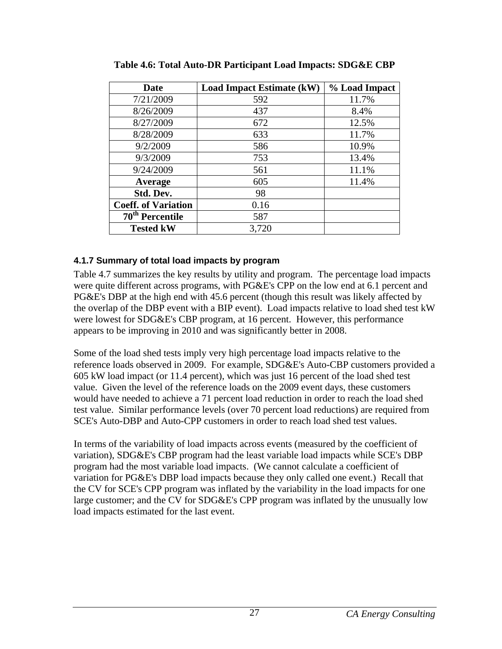<span id="page-32-2"></span>

| Date                       | <b>Load Impact Estimate (kW)</b> | % Load Impact |
|----------------------------|----------------------------------|---------------|
| 7/21/2009                  | 592                              | 11.7%         |
| 8/26/2009                  | 437                              | 8.4%          |
| 8/27/2009                  | 672                              | 12.5%         |
| 8/28/2009                  | 633                              | 11.7%         |
| 9/2/2009                   | 586                              | 10.9%         |
| 9/3/2009                   | 753                              | 13.4%         |
| 9/24/2009                  | 561                              | 11.1%         |
| Average                    | 605                              | 11.4%         |
| Std. Dev.                  | 98                               |               |
| <b>Coeff. of Variation</b> | 0.16                             |               |
| $70th$ Percentile          | 587                              |               |
| <b>Tested kW</b>           | 3,720                            |               |

<span id="page-32-0"></span>**Table 4.6: Total Auto-DR Participant Load Impacts: SDG&E CBP** 

## <span id="page-32-1"></span>**4.1.7 Summary of total load impacts by program**

Table 4.7 summarizes the key results by utility and program. The percentage load impacts were quite different across programs, with PG&E's CPP on the low end at 6.1 percent and PG&E's DBP at the high end with 45.6 percent (though this result was likely affected by the overlap of the DBP event with a BIP event). Load impacts relative to load shed test kW were lowest for SDG&E's CBP program, at 16 percent. However, this performance appears to be improving in 2010 and was significantly better in 2008.

Some of the load shed tests imply very high percentage load impacts relative to the reference loads observed in 2009. For example, SDG&E's Auto-CBP customers provided a 605 kW load impact (or 11.4 percent), which was just 16 percent of the load shed test value. Given the level of the reference loads on the 2009 event days, these customers would have needed to achieve a 71 percent load reduction in order to reach the load shed test value. Similar performance levels (over 70 percent load reductions) are required from SCE's Auto-DBP and Auto-CPP customers in order to reach load shed test values.

In terms of the variability of load impacts across events (measured by the coefficient of variation), SDG&E's CBP program had the least variable load impacts while SCE's DBP program had the most variable load impacts. (We cannot calculate a coefficient of variation for PG&E's DBP load impacts because they only called one event.) Recall that the CV for SCE's CPP program was inflated by the variability in the load impacts for one large customer; and the CV for SDG&E's CPP program was inflated by the unusually low load impacts estimated for the last event.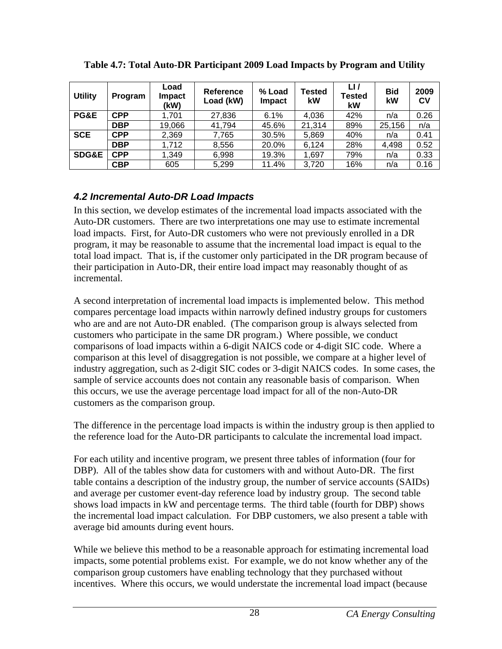<span id="page-33-2"></span>

| <b>Utility</b>   | <b>Program</b> | Load<br>Impact<br>(kW) | <b>Reference</b><br>Load (kW) | % Load<br><b>Impact</b> | <b>Tested</b><br>kW | LI/<br><b>Tested</b><br>kW | <b>Bid</b><br>kW | 2009<br>CV |
|------------------|----------------|------------------------|-------------------------------|-------------------------|---------------------|----------------------------|------------------|------------|
| PG&E             | <b>CPP</b>     | 1.701                  | 27,836                        | 6.1%                    | 4,036               | 42%                        | n/a              | 0.26       |
|                  | <b>DBP</b>     | 19,066                 | 41,794                        | 45.6%                   | 21,314              | 89%                        | 25,156           | n/a        |
| <b>SCE</b>       | <b>CPP</b>     | 2,369                  | 7.765                         | 30.5%                   | 5,869               | 40%                        | n/a              | 0.41       |
|                  | <b>DBP</b>     | 1,712                  | 8,556                         | 20.0%                   | 6.124               | 28%                        | 4,498            | 0.52       |
| <b>SDG&amp;E</b> | <b>CPP</b>     | 1,349                  | 6,998                         | 19.3%                   | 1,697               | 79%                        | n/a              | 0.33       |
|                  | <b>CBP</b>     | 605                    | 5,299                         | 11.4%                   | 3,720               | 16%                        | n/a              | 0.16       |

<span id="page-33-0"></span>**Table 4.7: Total Auto-DR Participant 2009 Load Impacts by Program and Utility** 

## <span id="page-33-1"></span>*4.2 Incremental Auto-DR Load Impacts*

In this section, we develop estimates of the incremental load impacts associated with the Auto-DR customers. There are two interpretations one may use to estimate incremental load impacts. First, for Auto-DR customers who were not previously enrolled in a DR program, it may be reasonable to assume that the incremental load impact is equal to the total load impact. That is, if the customer only participated in the DR program because of their participation in Auto-DR, their entire load impact may reasonably thought of as incremental.

A second interpretation of incremental load impacts is implemented below. This method compares percentage load impacts within narrowly defined industry groups for customers who are and are not Auto-DR enabled. (The comparison group is always selected from customers who participate in the same DR program.) Where possible, we conduct comparisons of load impacts within a 6-digit NAICS code or 4-digit SIC code. Where a comparison at this level of disaggregation is not possible, we compare at a higher level of industry aggregation, such as 2-digit SIC codes or 3-digit NAICS codes. In some cases, the sample of service accounts does not contain any reasonable basis of comparison. When this occurs, we use the average percentage load impact for all of the non-Auto-DR customers as the comparison group.

The difference in the percentage load impacts is within the industry group is then applied to the reference load for the Auto-DR participants to calculate the incremental load impact.

For each utility and incentive program, we present three tables of information (four for DBP). All of the tables show data for customers with and without Auto-DR. The first table contains a description of the industry group, the number of service accounts (SAIDs) and average per customer event-day reference load by industry group. The second table shows load impacts in kW and percentage terms. The third table (fourth for DBP) shows the incremental load impact calculation. For DBP customers, we also present a table with average bid amounts during event hours.

While we believe this method to be a reasonable approach for estimating incremental load impacts, some potential problems exist. For example, we do not know whether any of the comparison group customers have enabling technology that they purchased without incentives. Where this occurs, we would understate the incremental load impact (because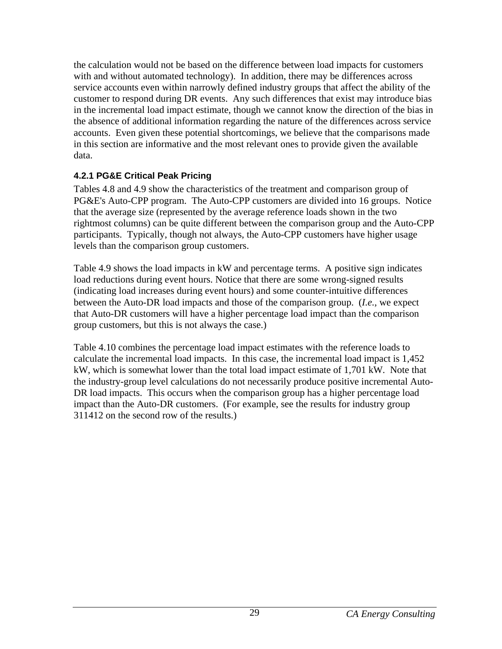<span id="page-34-0"></span>the calculation would not be based on the difference between load impacts for customers with and without automated technology). In addition, there may be differences across service accounts even within narrowly defined industry groups that affect the ability of the customer to respond during DR events. Any such differences that exist may introduce bias in the incremental load impact estimate, though we cannot know the direction of the bias in the absence of additional information regarding the nature of the differences across service accounts. Even given these potential shortcomings, we believe that the comparisons made in this section are informative and the most relevant ones to provide given the available data.

## <span id="page-34-1"></span>**4.2.1 PG&E Critical Peak Pricing**

Tables 4.8 and 4.9 show the characteristics of the treatment and comparison group of PG&E's Auto-CPP program. The Auto-CPP customers are divided into 16 groups. Notice that the average size (represented by the average reference loads shown in the two rightmost columns) can be quite different between the comparison group and the Auto-CPP participants. Typically, though not always, the Auto-CPP customers have higher usage levels than the comparison group customers.

Table 4.9 shows the load impacts in kW and percentage terms. A positive sign indicates load reductions during event hours. Notice that there are some wrong-signed results (indicating load increases during event hours) and some counter-intuitive differences between the Auto-DR load impacts and those of the comparison group. (*I.e.*, we expect that Auto-DR customers will have a higher percentage load impact than the comparison group customers, but this is not always the case.)

Table 4.10 combines the percentage load impact estimates with the reference loads to calculate the incremental load impacts. In this case, the incremental load impact is 1,452 kW, which is somewhat lower than the total load impact estimate of 1,701 kW. Note that the industry-group level calculations do not necessarily produce positive incremental Auto-DR load impacts. This occurs when the comparison group has a higher percentage load impact than the Auto-DR customers. (For example, see the results for industry group 311412 on the second row of the results.)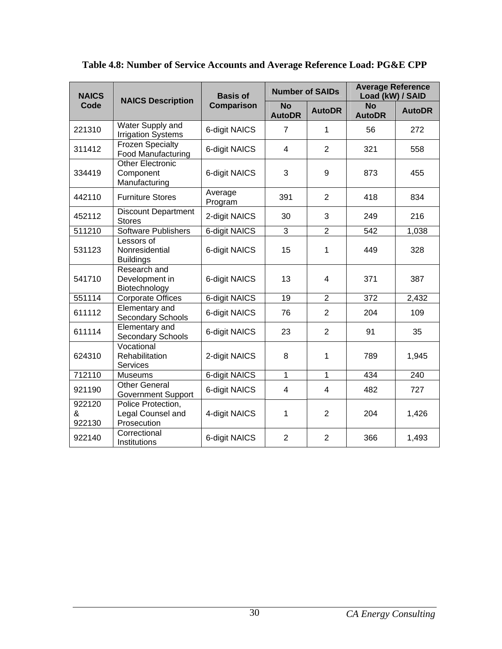<span id="page-35-1"></span>

| <b>NAICS</b>          | <b>NAICS Description</b>                               | <b>Basis of</b>    | <b>Number of SAIDs</b>     |                | <b>Average Reference</b><br>Load (kW) / SAID |               |
|-----------------------|--------------------------------------------------------|--------------------|----------------------------|----------------|----------------------------------------------|---------------|
| Code                  |                                                        | Comparison         | <b>No</b><br><b>AutoDR</b> | <b>AutoDR</b>  | <b>No</b><br><b>AutoDR</b>                   | <b>AutoDR</b> |
| 221310                | Water Supply and<br><b>Irrigation Systems</b>          | 6-digit NAICS      | $\overline{7}$             | 1              | 56                                           | 272           |
| 311412                | <b>Frozen Specialty</b><br><b>Food Manufacturing</b>   | 6-digit NAICS      | $\overline{4}$             | $\overline{2}$ | 321                                          | 558           |
| 334419                | <b>Other Electronic</b><br>Component<br>Manufacturing  | 6-digit NAICS      | 3                          | 9              | 873                                          | 455           |
| 442110                | <b>Furniture Stores</b>                                | Average<br>Program | 391                        | $\overline{2}$ | 418                                          | 834           |
| 452112                | <b>Discount Department</b><br><b>Stores</b>            | 2-digit NAICS      | 30                         | 3              | 249                                          | 216           |
| 511210                | <b>Software Publishers</b>                             | 6-digit NAICS      | 3                          | $\overline{2}$ | 542                                          | 1,038         |
| 531123                | Lessors of<br>Nonresidential<br><b>Buildings</b>       | 6-digit NAICS      | 15                         | 1              | 449                                          | 328           |
| 541710                | Research and<br>Development in<br>Biotechnology        | 6-digit NAICS      | 13                         | 4              | 371                                          | 387           |
| 551114                | <b>Corporate Offices</b>                               | 6-digit NAICS      | 19                         | $\overline{2}$ | 372                                          | 2,432         |
| 611112                | Elementary and<br>Secondary Schools                    | 6-digit NAICS      | 76                         | $\overline{2}$ | 204                                          | 109           |
| 611114                | Elementary and<br><b>Secondary Schools</b>             | 6-digit NAICS      | 23                         | $\overline{2}$ | 91                                           | 35            |
| 624310                | Vocational<br>Rehabilitation<br><b>Services</b>        | 2-digit NAICS      | 8                          | $\mathbf{1}$   | 789                                          | 1,945         |
| 712110                | <b>Museums</b>                                         | 6-digit NAICS      | $\overline{1}$             | $\overline{1}$ | 434                                          | 240           |
| 921190                | <b>Other General</b><br><b>Government Support</b>      | 6-digit NAICS      | 4                          | 4              | 482                                          | 727           |
| 922120<br>&<br>922130 | Police Protection,<br>Legal Counsel and<br>Prosecution | 4-digit NAICS      | 1                          | $\overline{2}$ | 204                                          | 1,426         |
| 922140                | Correctional<br>Institutions                           | 6-digit NAICS      | $\overline{2}$             | $\overline{2}$ | 366                                          | 1,493         |

<span id="page-35-0"></span>**Table 4.8: Number of Service Accounts and Average Reference Load: PG&E CPP**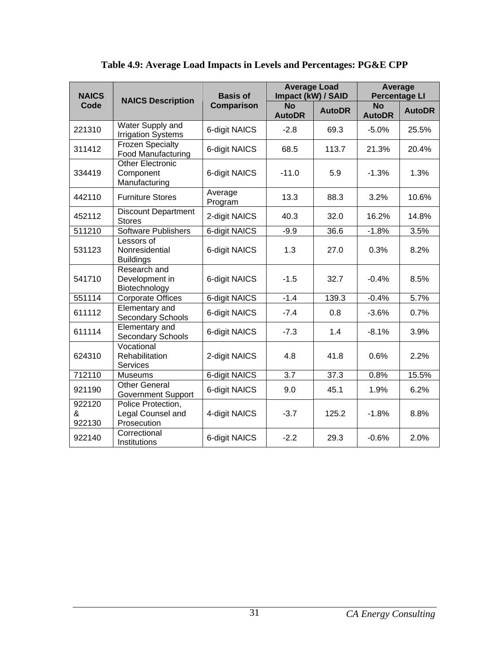<span id="page-36-1"></span><span id="page-36-0"></span>

| <b>NAICS</b>          | <b>NAICS Description</b>                               | <b>Basis of</b>    | <b>Average Load</b><br>Impact (kW) / SAID |               | Average<br><b>Percentage LI</b> |               |
|-----------------------|--------------------------------------------------------|--------------------|-------------------------------------------|---------------|---------------------------------|---------------|
| Code                  |                                                        | Comparison         | <b>No</b><br><b>AutoDR</b>                | <b>AutoDR</b> | <b>No</b><br><b>AutoDR</b>      | <b>AutoDR</b> |
| 221310                | Water Supply and<br><b>Irrigation Systems</b>          | 6-digit NAICS      | $-2.8$                                    | 69.3          | $-5.0%$                         | 25.5%         |
| 311412                | <b>Frozen Specialty</b><br><b>Food Manufacturing</b>   | 6-digit NAICS      | 68.5                                      | 113.7         | 21.3%                           | 20.4%         |
| 334419                | <b>Other Electronic</b><br>Component<br>Manufacturing  | 6-digit NAICS      | $-11.0$                                   | 5.9           | $-1.3%$                         | 1.3%          |
| 442110                | <b>Furniture Stores</b>                                | Average<br>Program | 13.3                                      | 88.3          | 3.2%                            | 10.6%         |
| 452112                | <b>Discount Department</b><br><b>Stores</b>            | 2-digit NAICS      | 40.3                                      | 32.0          | 16.2%                           | 14.8%         |
| 511210                | <b>Software Publishers</b>                             | 6-digit NAICS      | $-9.9$                                    | 36.6          | $-1.8%$                         | 3.5%          |
| 531123                | Lessors of<br>Nonresidential<br><b>Buildings</b>       | 6-digit NAICS      | 1.3                                       | 27.0          | 0.3%                            | 8.2%          |
| 541710                | Research and<br>Development in<br>Biotechnology        | 6-digit NAICS      | $-1.5$                                    | 32.7          | $-0.4%$                         | 8.5%          |
| 551114                | <b>Corporate Offices</b>                               | 6-digit NAICS      | $-1.4$                                    | 139.3         | $-0.4%$                         | 5.7%          |
| 611112                | Elementary and<br>Secondary Schools                    | 6-digit NAICS      | $-7.4$                                    | 0.8           | $-3.6%$                         | 0.7%          |
| 611114                | Elementary and<br>Secondary Schools                    | 6-digit NAICS      | $-7.3$                                    | 1.4           | $-8.1%$                         | 3.9%          |
| 624310                | Vocational<br>Rehabilitation<br><b>Services</b>        | 2-digit NAICS      | 4.8                                       | 41.8          | 0.6%                            | 2.2%          |
| 712110                | <b>Museums</b>                                         | 6-digit NAICS      | $\overline{3.7}$                          | 37.3          | 0.8%                            | 15.5%         |
| 921190                | <b>Other General</b><br><b>Government Support</b>      | 6-digit NAICS      | 9.0                                       | 45.1          | 1.9%                            | 6.2%          |
| 922120<br>&<br>922130 | Police Protection,<br>Legal Counsel and<br>Prosecution | 4-digit NAICS      | $-3.7$                                    | 125.2         | $-1.8%$                         | 8.8%          |
| 922140                | Correctional<br>Institutions                           | 6-digit NAICS      | $-2.2$                                    | 29.3          | $-0.6%$                         | 2.0%          |

# **Table 4.9: Average Load Impacts in Levels and Percentages: PG&E CPP**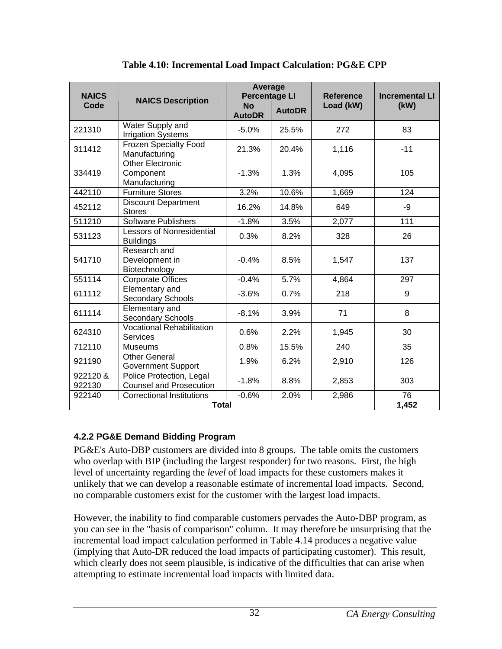<span id="page-37-2"></span><span id="page-37-0"></span>

| <b>NAICS</b>       |                                                            | Average<br><b>Percentage LI</b> |               | <b>Reference</b> | <b>Incremental LI</b> |  |  |
|--------------------|------------------------------------------------------------|---------------------------------|---------------|------------------|-----------------------|--|--|
| Code               | <b>NAICS Description</b>                                   | <b>No</b><br><b>AutoDR</b>      | <b>AutoDR</b> | Load (kW)        | (kW)                  |  |  |
| 221310             | Water Supply and<br><b>Irrigation Systems</b>              | $-5.0%$                         | 25.5%         | 272              | 83                    |  |  |
| 311412             | <b>Frozen Specialty Food</b><br>Manufacturing              | 21.3%                           | 20.4%         | 1,116            | $-11$                 |  |  |
| 334419             | <b>Other Electronic</b><br>Component<br>Manufacturing      | $-1.3%$                         | 1.3%          | 4,095            | 105                   |  |  |
| 442110             | <b>Furniture Stores</b>                                    | 3.2%                            | 10.6%         | 1,669            | 124                   |  |  |
| 452112             | <b>Discount Department</b><br><b>Stores</b>                | 16.2%                           | 14.8%         | 649              | -9                    |  |  |
| 511210             | Software Publishers                                        | $-1.8%$                         | 3.5%          | 2,077            | 111                   |  |  |
| 531123             | <b>Lessors of Nonresidential</b><br><b>Buildings</b>       | 0.3%                            | 8.2%          | 328              | 26                    |  |  |
| 541710             | Research and<br>Development in<br>Biotechnology            | $-0.4%$                         | 8.5%          | 1,547            | 137                   |  |  |
| 551114             | <b>Corporate Offices</b>                                   | $-0.4%$                         | 5.7%          | 4,864            | 297                   |  |  |
| 611112             | Elementary and<br><b>Secondary Schools</b>                 | $-3.6%$                         | 0.7%          | 218              | 9                     |  |  |
| 611114             | Elementary and<br><b>Secondary Schools</b>                 | $-8.1%$                         | 3.9%          | 71               | 8                     |  |  |
| 624310             | <b>Vocational Rehabilitation</b><br>Services               | 0.6%                            | 2.2%          | 1,945            | 30                    |  |  |
| 712110             | <b>Museums</b>                                             | 0.8%                            | 15.5%         | 240              | 35                    |  |  |
| 921190             | <b>Other General</b><br><b>Government Support</b>          | 1.9%                            | 6.2%          | 2,910            | 126                   |  |  |
| 922120 &<br>922130 | Police Protection, Legal<br><b>Counsel and Prosecution</b> | $-1.8%$                         | 8.8%          | 2,853            | 303                   |  |  |
| 922140             | <b>Correctional Institutions</b>                           | $-0.6%$                         | 2.0%          | 2,986            | 76<br>1,452           |  |  |
|                    | <b>Total</b>                                               |                                 |               |                  |                       |  |  |

**Table 4.10: Incremental Load Impact Calculation: PG&E CPP** 

## <span id="page-37-1"></span>**4.2.2 PG&E Demand Bidding Program**

PG&E's Auto-DBP customers are divided into 8 groups. The table omits the customers who overlap with BIP (including the largest responder) for two reasons. First, the high level of uncertainty regarding the *level* of load impacts for these customers makes it unlikely that we can develop a reasonable estimate of incremental load impacts. Second, no comparable customers exist for the customer with the largest load impacts.

However, the inability to find comparable customers pervades the Auto-DBP program, as you can see in the "basis of comparison" column. It may therefore be unsurprising that the incremental load impact calculation performed in Table 4.14 produces a negative value (implying that Auto-DR reduced the load impacts of participating customer). This result, which clearly does not seem plausible, is indicative of the difficulties that can arise when attempting to estimate incremental load impacts with limited data.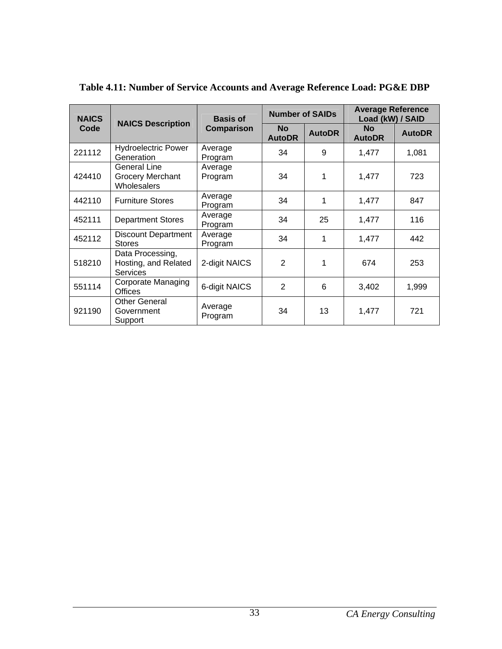<span id="page-38-1"></span>

| <b>NAICS</b> | <b>NAICS Description</b>                                    | <b>Basis of</b>    | <b>Number of SAIDs</b>     |               | <b>Average Reference</b><br>Load (kW) / SAID |               |
|--------------|-------------------------------------------------------------|--------------------|----------------------------|---------------|----------------------------------------------|---------------|
| Code         |                                                             | <b>Comparison</b>  | <b>No</b><br><b>AutoDR</b> | <b>AutoDR</b> | <b>No</b><br><b>AutoDR</b>                   | <b>AutoDR</b> |
| 221112       | <b>Hydroelectric Power</b><br>Generation                    | Average<br>Program | 34                         | 9             | 1,477                                        | 1,081         |
| 424410       | General Line<br><b>Grocery Merchant</b><br>Wholesalers      | Average<br>Program | 34                         | 1             | 1,477                                        | 723           |
| 442110       | <b>Furniture Stores</b>                                     | Average<br>Program | 34                         | 1             | 1,477                                        | 847           |
| 452111       | <b>Department Stores</b>                                    | Average<br>Program | 34                         | 25            | 1,477                                        | 116           |
| 452112       | <b>Discount Department</b><br><b>Stores</b>                 | Average<br>Program | 34                         | 1             | 1,477                                        | 442           |
| 518210       | Data Processing,<br>Hosting, and Related<br><b>Services</b> | 2-digit NAICS      | $\overline{2}$             | 1             | 674                                          | 253           |
| 551114       | Corporate Managing<br><b>Offices</b>                        | 6-digit NAICS      | $\overline{2}$             | 6             | 3,402                                        | 1,999         |
| 921190       | <b>Other General</b><br>Government<br>Support               | Average<br>Program | 34                         | 13            | 1,477                                        | 721           |

# <span id="page-38-0"></span>**Table 4.11: Number of Service Accounts and Average Reference Load: PG&E DBP**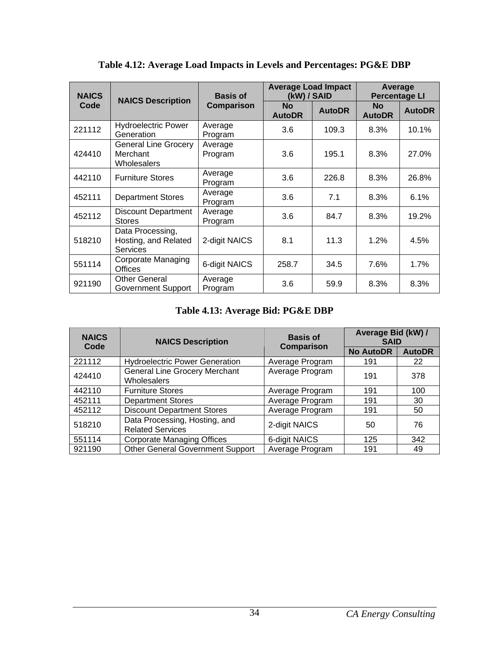<span id="page-39-1"></span><span id="page-39-0"></span>

| <b>NAICS</b> | <b>NAICS Description</b>                                    | <b>Basis of</b>    | <b>Average Load Impact</b><br>(kW) / SAID |               | Average<br><b>Percentage LI</b> |               |
|--------------|-------------------------------------------------------------|--------------------|-------------------------------------------|---------------|---------------------------------|---------------|
| Code         |                                                             | Comparison         | <b>No</b><br><b>AutoDR</b>                | <b>AutoDR</b> | <b>No</b><br><b>AutoDR</b>      | <b>AutoDR</b> |
| 221112       | <b>Hydroelectric Power</b><br>Generation                    | Average<br>Program | 3.6                                       | 109.3         | 8.3%                            | 10.1%         |
| 424410       | <b>General Line Grocery</b><br>Merchant<br>Wholesalers      | Average<br>Program | 3.6                                       | 195.1         | 8.3%                            | 27.0%         |
| 442110       | <b>Furniture Stores</b>                                     | Average<br>Program | 3.6                                       | 226.8         | 8.3%                            | 26.8%         |
| 452111       | <b>Department Stores</b>                                    | Average<br>Program | 3.6                                       | 7.1           | 8.3%                            | 6.1%          |
| 452112       | <b>Discount Department</b><br><b>Stores</b>                 | Average<br>Program | 3.6                                       | 84.7          | 8.3%                            | 19.2%         |
| 518210       | Data Processing,<br>Hosting, and Related<br><b>Services</b> | 2-digit NAICS      | 8.1                                       | 11.3          | 1.2%                            | 4.5%          |
| 551114       | Corporate Managing<br>Offices                               | 6-digit NAICS      | 258.7                                     | 34.5          | 7.6%                            | 1.7%          |
| 921190       | <b>Other General</b><br><b>Government Support</b>           | Average<br>Program | 3.6                                       | 59.9          | 8.3%                            | 8.3%          |

**Table 4.12: Average Load Impacts in Levels and Percentages: PG&E DBP** 

#### **Table 4.13: Average Bid: PG&E DBP**

<span id="page-39-2"></span>

| <b>NAICS</b><br>Code | <b>NAICS Description</b>                                 | <b>Basis of</b><br><b>Comparison</b> | Average Bid (kW) /<br><b>SAID</b> |               |
|----------------------|----------------------------------------------------------|--------------------------------------|-----------------------------------|---------------|
|                      |                                                          |                                      | <b>No AutoDR</b>                  | <b>AutoDR</b> |
| 221112               | <b>Hydroelectric Power Generation</b>                    | Average Program                      | 191                               | 22            |
| 424410               | <b>General Line Grocery Merchant</b><br>Wholesalers      | Average Program                      | 191                               | 378           |
| 442110               | <b>Furniture Stores</b>                                  | Average Program                      | 191                               | 100           |
| 452111               | <b>Department Stores</b>                                 | Average Program                      | 191                               | 30            |
| 452112               | <b>Discount Department Stores</b>                        | Average Program                      | 191                               | 50            |
| 518210               | Data Processing, Hosting, and<br><b>Related Services</b> | 2-digit NAICS                        | 50                                | 76            |
| 551114               | <b>Corporate Managing Offices</b>                        | 6-digit NAICS                        | 125                               | 342           |
| 921190               | <b>Other General Government Support</b>                  | Average Program                      | 191                               | 49            |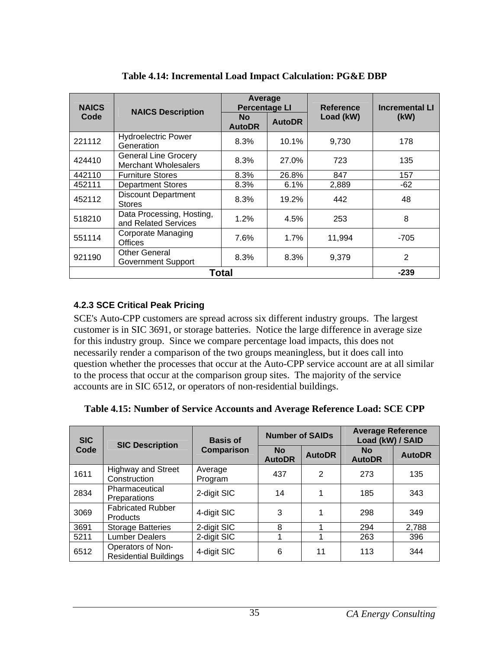<span id="page-40-2"></span><span id="page-40-0"></span>

| <b>NAICS</b> | <b>NAICS Description</b>                                   | Average<br><b>Percentage LI</b> |               | <b>Reference</b> | <b>Incremental LI</b> |
|--------------|------------------------------------------------------------|---------------------------------|---------------|------------------|-----------------------|
| Code         |                                                            | <b>No</b><br><b>AutoDR</b>      | <b>AutoDR</b> | Load (kW)        | (kW)                  |
| 221112       | <b>Hydroelectric Power</b><br>Generation                   | 8.3%                            | 10.1%         | 9,730            | 178                   |
| 424410       | <b>General Line Grocery</b><br><b>Merchant Wholesalers</b> | 8.3%                            | 27.0%         | 723              | 135                   |
| 442110       | <b>Furniture Stores</b>                                    | 8.3%                            | 26.8%         | 847              | 157                   |
| 452111       | <b>Department Stores</b>                                   | 8.3%                            | 6.1%          | 2,889            | $-62$                 |
| 452112       | <b>Discount Department</b><br><b>Stores</b>                | 8.3%                            | 19.2%         | 442              | 48                    |
| 518210       | Data Processing, Hosting,<br>and Related Services          | 1.2%                            | 4.5%          | 253              | 8                     |
| 551114       | <b>Corporate Managing</b><br>Offices                       | 7.6%                            | 1.7%          | 11,994           | $-705$                |
| 921190       | <b>Other General</b><br><b>Government Support</b>          | 8.3%                            | 8.3%          | 9,379            | 2                     |
|              |                                                            | <b>Total</b>                    |               |                  | $-239$                |

**Table 4.14: Incremental Load Impact Calculation: PG&E DBP** 

## <span id="page-40-1"></span>**4.2.3 SCE Critical Peak Pricing**

SCE's Auto-CPP customers are spread across six different industry groups. The largest customer is in SIC 3691, or storage batteries. Notice the large difference in average size for this industry group. Since we compare percentage load impacts, this does not necessarily render a comparison of the two groups meaningless, but it does call into question whether the processes that occur at the Auto-CPP service account are at all similar to the process that occur at the comparison group sites. The majority of the service accounts are in SIC 6512, or operators of non-residential buildings.

|  | Table 4.15: Number of Service Accounts and Average Reference Load: SCE CPP |  |  |
|--|----------------------------------------------------------------------------|--|--|
|  |                                                                            |  |  |

<span id="page-40-3"></span>

| <b>SIC</b> | <b>SIC Description</b>                            | <b>Basis of</b>    | <b>Number of SAIDs</b>     |               | <b>Average Reference</b><br>Load (kW) / SAID |               |
|------------|---------------------------------------------------|--------------------|----------------------------|---------------|----------------------------------------------|---------------|
| Code       | <b>Comparison</b>                                 |                    | <b>No</b><br><b>AutoDR</b> | <b>AutoDR</b> | <b>No</b><br><b>AutoDR</b>                   | <b>AutoDR</b> |
| 1611       | <b>Highway and Street</b><br>Construction         | Average<br>Program | 437                        | $\mathbf{2}$  | 273                                          | 135           |
| 2834       | Pharmaceutical<br>Preparations                    | 2-digit SIC        | 14                         | 1             | 185                                          | 343           |
| 3069       | <b>Fabricated Rubber</b><br><b>Products</b>       | 4-digit SIC        | 3                          | 1             | 298                                          | 349           |
| 3691       | <b>Storage Batteries</b>                          | 2-digit SIC        | 8                          | 1             | 294                                          | 2,788         |
| 5211       | <b>Lumber Dealers</b>                             | 2-digit SIC        |                            |               | 263                                          | 396           |
| 6512       | Operators of Non-<br><b>Residential Buildings</b> | 4-digit SIC        | 6                          | 11            | 113                                          | 344           |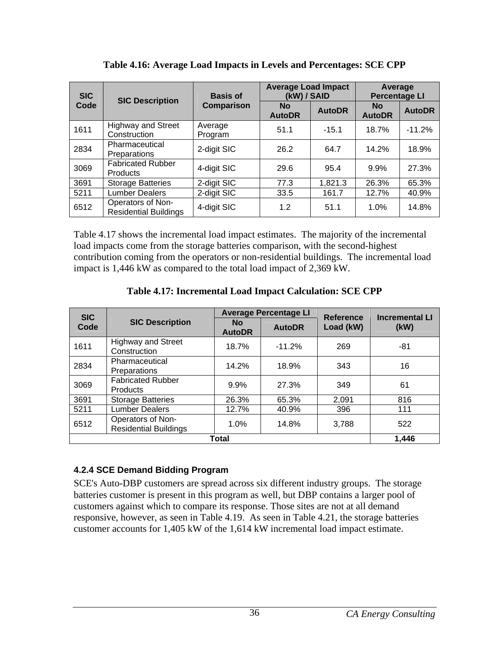<span id="page-41-2"></span><span id="page-41-0"></span>

| <b>SIC</b> | <b>SIC Description</b>                            | <b>Basis of</b>    | <b>Average Load Impact</b><br>(kW) / SAID |               | Average<br><b>Percentage LI</b> |               |
|------------|---------------------------------------------------|--------------------|-------------------------------------------|---------------|---------------------------------|---------------|
| Code       |                                                   | <b>Comparison</b>  | <b>No</b><br><b>AutoDR</b>                | <b>AutoDR</b> | <b>No</b><br><b>AutoDR</b>      | <b>AutoDR</b> |
| 1611       | <b>Highway and Street</b><br>Construction         | Average<br>Program | 51.1                                      | $-15.1$       | 18.7%                           | $-11.2%$      |
| 2834       | Pharmaceutical<br><b>Preparations</b>             | 2-digit SIC        | 26.2                                      | 64.7          | 14.2%                           | 18.9%         |
| 3069       | <b>Fabricated Rubber</b><br><b>Products</b>       | 4-digit SIC        | 29.6                                      | 95.4          | 9.9%                            | 27.3%         |
| 3691       | <b>Storage Batteries</b>                          | 2-digit SIC        | 77.3                                      | 1,821.3       | 26.3%                           | 65.3%         |
| 5211       | <b>Lumber Dealers</b>                             | 2-digit SIC        | 33.5                                      | 161.7         | 12.7%                           | 40.9%         |
| 6512       | Operators of Non-<br><b>Residential Buildings</b> | 4-digit SIC        | 1.2                                       | 51.1          | 1.0%                            | 14.8%         |

**Table 4.16: Average Load Impacts in Levels and Percentages: SCE CPP** 

Table 4.17 shows the incremental load impact estimates. The majority of the incremental load impacts come from the storage batteries comparison, with the second-highest contribution coming from the operators or non-residential buildings. The incremental load impact is 1,446 kW as compared to the total load impact of 2,369 kW.

**Table 4.17: Incremental Load Impact Calculation: SCE CPP** 

<span id="page-41-3"></span>

| <b>SIC</b> |                                                   |                            | <b>Average Percentage LI</b> | <b>Reference</b> | <b>Incremental LI</b> |  |
|------------|---------------------------------------------------|----------------------------|------------------------------|------------------|-----------------------|--|
| Code       | <b>SIC Description</b>                            | <b>No</b><br><b>AutoDR</b> | <b>AutoDR</b>                | Load (kW)        | (kW)                  |  |
| 1611       | <b>Highway and Street</b><br>Construction         | 18.7%                      | $-11.2%$                     | 269              | -81                   |  |
| 2834       | Pharmaceutical<br>Preparations                    | 14.2%                      | 18.9%                        | 343              | 16                    |  |
| 3069       | <b>Fabricated Rubber</b><br><b>Products</b>       | 9.9%                       | 27.3%                        | 349              | 61                    |  |
| 3691       | <b>Storage Batteries</b>                          | 26.3%                      | 65.3%                        | 2,091            | 816                   |  |
| 5211       | <b>Lumber Dealers</b>                             | 12.7%                      | 40.9%                        | 396              | 111                   |  |
| 6512       | Operators of Non-<br><b>Residential Buildings</b> | 1.0%                       | 14.8%                        | 3.788            | 522                   |  |
|            | Total                                             |                            |                              |                  |                       |  |

## <span id="page-41-1"></span>**4.2.4 SCE Demand Bidding Program**

SCE's Auto-DBP customers are spread across six different industry groups. The storage batteries customer is present in this program as well, but DBP contains a larger pool of customers against which to compare its response. Those sites are not at all demand responsive, however, as seen in Table 4.19. As seen in Table 4.21, the storage batteries customer accounts for 1,405 kW of the 1,614 kW incremental load impact estimate.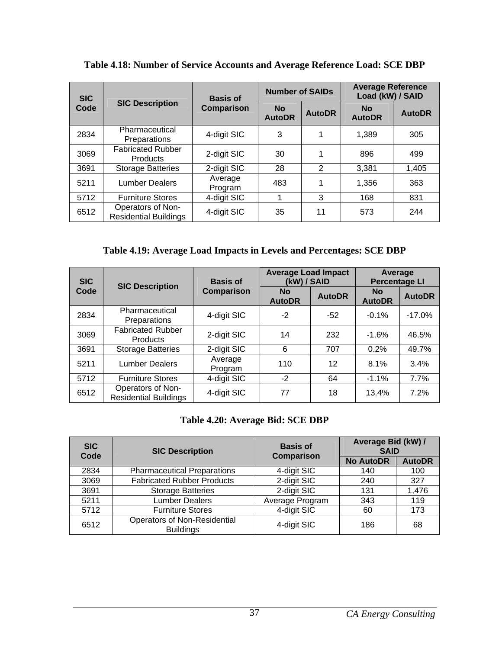<span id="page-42-1"></span>

| <b>SIC</b> |                                                   | <b>Basis of</b>    | <b>Number of SAIDs</b>     |               | <b>Average Reference</b><br>Load (kW) / SAID |               |
|------------|---------------------------------------------------|--------------------|----------------------------|---------------|----------------------------------------------|---------------|
| Code       | <b>SIC Description</b>                            | <b>Comparison</b>  | <b>No</b><br><b>AutoDR</b> | <b>AutoDR</b> | <b>No</b><br><b>AutoDR</b>                   | <b>AutoDR</b> |
| 2834       | Pharmaceutical<br>Preparations                    | 4-digit SIC        | 3                          | 1             | 1,389                                        | 305           |
| 3069       | <b>Fabricated Rubber</b><br><b>Products</b>       | 2-digit SIC        | 30                         | 1             | 896                                          | 499           |
| 3691       | <b>Storage Batteries</b>                          | 2-digit SIC        | 28                         | 2             | 3,381                                        | 1,405         |
| 5211       | <b>Lumber Dealers</b>                             | Average<br>Program | 483                        | 1             | 1,356                                        | 363           |
| 5712       | <b>Furniture Stores</b>                           | 4-digit SIC        | 1                          | 3             | 168                                          | 831           |
| 6512       | Operators of Non-<br><b>Residential Buildings</b> | 4-digit SIC        | 35                         | 11            | 573                                          | 244           |

<span id="page-42-0"></span>**Table 4.18: Number of Service Accounts and Average Reference Load: SCE DBP** 

**Table 4.19: Average Load Impacts in Levels and Percentages: SCE DBP** 

<span id="page-42-2"></span>

| <b>SIC</b> | <b>SIC Description</b>                            | <b>Basis of</b>    | <b>Average Load Impact</b><br>(kW) / SAID |               | Average<br><b>Percentage LI</b> |               |
|------------|---------------------------------------------------|--------------------|-------------------------------------------|---------------|---------------------------------|---------------|
| Code       |                                                   | <b>Comparison</b>  | <b>No</b><br><b>AutoDR</b>                | <b>AutoDR</b> | <b>No</b><br><b>AutoDR</b>      | <b>AutoDR</b> |
| 2834       | Pharmaceutical<br>Preparations                    | 4-digit SIC        | $-2$                                      | $-52$         | $-0.1%$                         | $-17.0%$      |
| 3069       | <b>Fabricated Rubber</b><br><b>Products</b>       | 2-digit SIC        | 14                                        | 232           | $-1.6%$                         | 46.5%         |
| 3691       | <b>Storage Batteries</b>                          | 2-digit SIC        | 6                                         | 707           | 0.2%                            | 49.7%         |
| 5211       | <b>Lumber Dealers</b>                             | Average<br>Program | 110                                       | 12            | 8.1%                            | 3.4%          |
| 5712       | <b>Furniture Stores</b>                           | 4-digit SIC        | $-2$                                      | 64            | $-1.1%$                         | 7.7%          |
| 6512       | Operators of Non-<br><b>Residential Buildings</b> | 4-digit SIC        | 77                                        | 18            | 13.4%                           | 7.2%          |

## **Table 4.20: Average Bid: SCE DBP**

<span id="page-42-3"></span>

| <b>SIC</b><br>Code | <b>SIC Description</b>                                  | <b>Basis of</b><br>Comparison | Average Bid (kW) /<br><b>SAID</b> |               |
|--------------------|---------------------------------------------------------|-------------------------------|-----------------------------------|---------------|
|                    |                                                         |                               | <b>No AutoDR</b>                  | <b>AutoDR</b> |
| 2834               | <b>Pharmaceutical Preparations</b>                      | 4-digit SIC                   | 140                               | 100           |
| 3069               | <b>Fabricated Rubber Products</b>                       | 2-digit SIC                   | 240                               | 327           |
| 3691               | <b>Storage Batteries</b>                                | 2-digit SIC                   | 131                               | 1,476         |
| 5211               | <b>Lumber Dealers</b>                                   | Average Program               | 343                               | 119           |
| 5712               | <b>Furniture Stores</b>                                 | 4-digit SIC                   | 60                                | 173           |
| 6512               | <b>Operators of Non-Residential</b><br><b>Buildings</b> | 4-digit SIC                   | 186                               | 68            |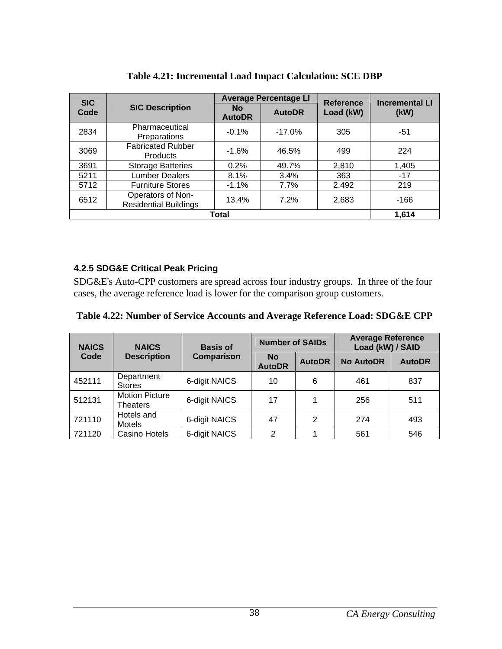<span id="page-43-2"></span><span id="page-43-0"></span>

| <b>SIC</b> |                                                   |                            | <b>Average Percentage LI</b> | <b>Reference</b> | <b>Incremental LI</b> |
|------------|---------------------------------------------------|----------------------------|------------------------------|------------------|-----------------------|
| Code       | <b>SIC Description</b>                            | <b>No</b><br><b>AutoDR</b> | <b>AutoDR</b>                | Load (kW)        | (kW)                  |
| 2834       | Pharmaceutical<br>Preparations                    | $-0.1%$                    | $-17.0%$                     | 305              | $-51$                 |
| 3069       | <b>Fabricated Rubber</b><br><b>Products</b>       | $-1.6%$                    | 46.5%                        | 499              | 224                   |
| 3691       | <b>Storage Batteries</b>                          | 0.2%                       | 49.7%                        | 2,810            | 1,405                 |
| 5211       | <b>Lumber Dealers</b>                             | 8.1%                       | 3.4%                         | 363              | $-17$                 |
| 5712       | <b>Furniture Stores</b>                           | $-1.1%$                    | 7.7%                         | 2,492            | 219                   |
| 6512       | Operators of Non-<br><b>Residential Buildings</b> | 13.4%                      | 7.2%                         | 2,683            | $-166$                |
|            |                                                   | Total                      |                              |                  | 1,614                 |

**Table 4.21: Incremental Load Impact Calculation: SCE DBP** 

## <span id="page-43-1"></span>**4.2.5 SDG&E Critical Peak Pricing**

SDG&E's Auto-CPP customers are spread across four industry groups. In three of the four cases, the average reference load is lower for the comparison group customers.

#### **Table 4.22: Number of Service Accounts and Average Reference Load: SDG&E CPP**

<span id="page-43-3"></span>

| <b>NAICS</b> | <b>NAICS</b>                      | <b>Basis of</b> | <b>Number of SAIDs</b>     |               | <b>Average Reference</b><br>Load (kW) / SAID |               |
|--------------|-----------------------------------|-----------------|----------------------------|---------------|----------------------------------------------|---------------|
| Code         | <b>Description</b>                | Comparison      | <b>No</b><br><b>AutoDR</b> | <b>AutoDR</b> | <b>No AutoDR</b>                             | <b>AutoDR</b> |
| 452111       | Department<br><b>Stores</b>       | 6-digit NAICS   | 10                         | 6             | 461                                          | 837           |
| 512131       | <b>Motion Picture</b><br>Theaters | 6-digit NAICS   | 17                         |               | 256                                          | 511           |
| 721110       | Hotels and<br>Motels              | 6-digit NAICS   | 47                         | 2             | 274                                          | 493           |
| 721120       | Casino Hotels                     | 6-digit NAICS   | $\mathcal{P}$              |               | 561                                          | 546           |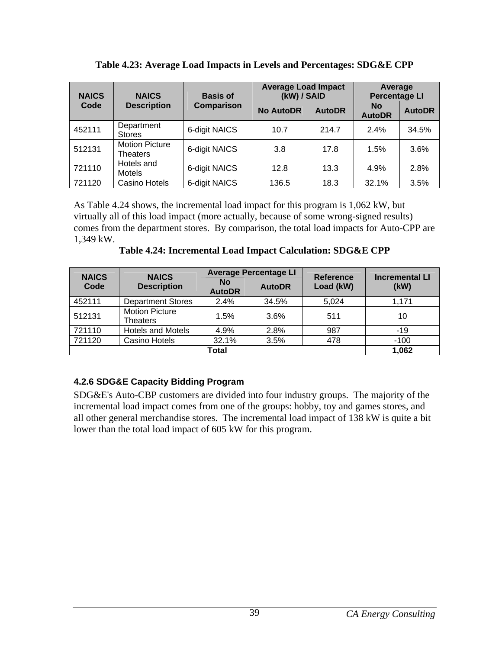<span id="page-44-2"></span><span id="page-44-0"></span>

| <b>NAICS</b><br><b>NAICS</b><br><b>Basis of</b> |                                   | <b>Average Load Impact</b><br>(kW) / SAID |                  | Average<br><b>Percentage LI</b> |                            |               |
|-------------------------------------------------|-----------------------------------|-------------------------------------------|------------------|---------------------------------|----------------------------|---------------|
| Code                                            | <b>Description</b>                | <b>Comparison</b>                         | <b>No AutoDR</b> | <b>AutoDR</b>                   | <b>No</b><br><b>AutoDR</b> | <b>AutoDR</b> |
| 452111                                          | Department<br><b>Stores</b>       | 6-digit NAICS                             | 10.7             | 214.7                           | 2.4%                       | 34.5%         |
| 512131                                          | <b>Motion Picture</b><br>Theaters | 6-digit NAICS                             | 3.8              | 17.8                            | 1.5%                       | 3.6%          |
| 721110                                          | Hotels and<br><b>Motels</b>       | 6-digit NAICS                             | 12.8             | 13.3                            | 4.9%                       | 2.8%          |
| 721120                                          | Casino Hotels                     | 6-digit NAICS                             | 136.5            | 18.3                            | 32.1%                      | 3.5%          |

**Table 4.23: Average Load Impacts in Levels and Percentages: SDG&E CPP** 

As Table 4.24 shows, the incremental load impact for this program is 1,062 kW, but virtually all of this load impact (more actually, because of some wrong-signed results) comes from the department stores. By comparison, the total load impacts for Auto-CPP are 1,349 kW.

**Table 4.24: Incremental Load Impact Calculation: SDG&E CPP** 

<span id="page-44-3"></span>

| <b>NAICS</b> | <b>NAICS</b>                                                      | <b>Average Percentage LI</b> |       | Reference | <b>Incremental LI</b> |
|--------------|-------------------------------------------------------------------|------------------------------|-------|-----------|-----------------------|
| Code         | <b>No</b><br><b>Description</b><br><b>AutoDR</b><br><b>AutoDR</b> |                              |       | Load (kW) | (kW)                  |
| 452111       | <b>Department Stores</b>                                          | 2.4%                         | 34.5% | 5.024     | 1,171                 |
| 512131       | <b>Motion Picture</b><br>Theaters                                 | 1.5%                         | 3.6%  | 511       | 10                    |
| 721110       | <b>Hotels and Motels</b>                                          | 4.9%                         | 2.8%  | 987       | $-19$                 |
| 721120       | Casino Hotels                                                     | 32.1%                        | 3.5%  | 478       | $-100$                |
|              | 1,062                                                             |                              |       |           |                       |

## <span id="page-44-1"></span>**4.2.6 SDG&E Capacity Bidding Program**

SDG&E's Auto-CBP customers are divided into four industry groups. The majority of the incremental load impact comes from one of the groups: hobby, toy and games stores, and all other general merchandise stores. The incremental load impact of 138 kW is quite a bit lower than the total load impact of 605 kW for this program.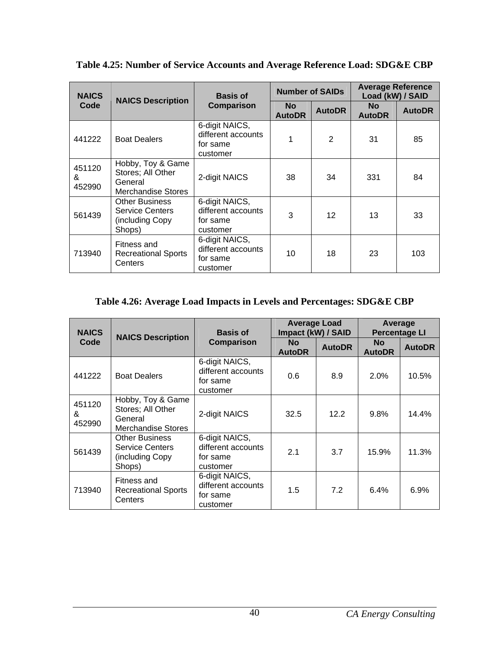<span id="page-45-1"></span>

| <b>NAICS</b>          | <b>NAICS Description</b>                                                      | <b>Basis of</b>                                              | <b>Number of SAIDs</b> |                 | <b>Average Reference</b><br>Load (kW) / SAID |               |
|-----------------------|-------------------------------------------------------------------------------|--------------------------------------------------------------|------------------------|-----------------|----------------------------------------------|---------------|
| Code                  |                                                                               | <b>Comparison</b>                                            | No.<br><b>AutoDR</b>   | <b>AutoDR</b>   | No.<br><b>AutoDR</b>                         | <b>AutoDR</b> |
| 441222                | <b>Boat Dealers</b>                                                           | 6-digit NAICS,<br>different accounts<br>for same<br>customer | 1                      | 2               | 31                                           | 85            |
| 451120<br>&<br>452990 | Hobby, Toy & Game<br>Stores; All Other<br>General<br>Merchandise Stores       | 2-digit NAICS                                                | 38                     | 34              | 331                                          | 84            |
| 561439                | <b>Other Business</b><br><b>Service Centers</b><br>(including Copy)<br>Shops) | 6-digit NAICS,<br>different accounts<br>for same<br>customer | 3                      | 12 <sup>2</sup> | 13                                           | 33            |
| 713940                | Fitness and<br><b>Recreational Sports</b><br>Centers                          | 6-digit NAICS,<br>different accounts<br>for same<br>customer | 10                     | 18              | 23                                           | 103           |

<span id="page-45-0"></span>**Table 4.25: Number of Service Accounts and Average Reference Load: SDG&E CBP** 

#### **Table 4.26: Average Load Impacts in Levels and Percentages: SDG&E CBP**

<span id="page-45-2"></span>

| <b>NAICS</b><br><b>NAICS Description</b> |                                                                                | <b>Basis of</b>                                              | <b>Average Load</b><br>Impact (kW) / SAID |               | Average<br><b>Percentage LI</b> |               |
|------------------------------------------|--------------------------------------------------------------------------------|--------------------------------------------------------------|-------------------------------------------|---------------|---------------------------------|---------------|
| Code                                     |                                                                                | <b>Comparison</b>                                            | <b>No</b><br><b>AutoDR</b>                | <b>AutoDR</b> | <b>No</b><br><b>AutoDR</b>      | <b>AutoDR</b> |
| 441222                                   | <b>Boat Dealers</b>                                                            | 6-digit NAICS,<br>different accounts<br>for same<br>customer | 0.6                                       | 8.9           | 2.0%                            | 10.5%         |
| 451120<br>&<br>452990                    | Hobby, Toy & Game<br>Stores; All Other<br>General<br><b>Merchandise Stores</b> | 2-digit NAICS                                                | 32.5                                      | 12.2          | 9.8%                            | 14.4%         |
| 561439                                   | <b>Other Business</b><br><b>Service Centers</b><br>(including Copy<br>Shops)   | 6-digit NAICS,<br>different accounts<br>for same<br>customer | 2.1                                       | 3.7           | 15.9%                           | 11.3%         |
| 713940                                   | Fitness and<br><b>Recreational Sports</b><br>Centers                           | 6-digit NAICS,<br>different accounts<br>for same<br>customer | 1.5                                       | 7.2           | 6.4%                            | 6.9%          |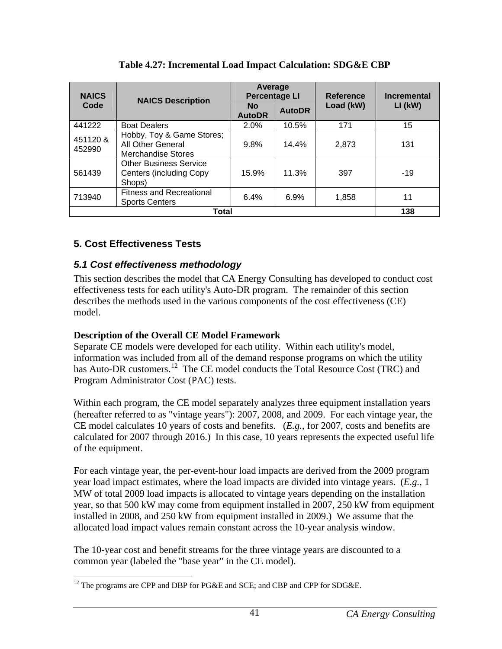<span id="page-46-3"></span><span id="page-46-0"></span>

| <b>NAICS</b>       | <b>NAICS Description</b>                                                   | Average<br><b>Percentage LI</b> |               | <b>Reference</b> | <b>Incremental</b> |  |
|--------------------|----------------------------------------------------------------------------|---------------------------------|---------------|------------------|--------------------|--|
| Code               |                                                                            | <b>No</b><br><b>AutoDR</b>      | <b>AutoDR</b> | Load (kW)        | $LI$ (kW)          |  |
| 441222             | <b>Boat Dealers</b>                                                        | 2.0%                            | 10.5%         | 171              | 15                 |  |
| 451120 &<br>452990 | Hobby, Toy & Game Stores;<br>All Other General<br>Merchandise Stores       | 9.8%                            | 14.4%         | 2,873            | 131                |  |
| 561439             | <b>Other Business Service</b><br><b>Centers (including Copy)</b><br>Shops) | 15.9%                           | 11.3%         | 397              | $-19$              |  |
| 713940             | <b>Fitness and Recreational</b><br><b>Sports Centers</b>                   | 6.4%                            | 6.9%          | 1,858            | 11                 |  |
|                    | 138                                                                        |                                 |               |                  |                    |  |

**Table 4.27: Incremental Load Impact Calculation: SDG&E CBP** 

# <span id="page-46-1"></span>**5. Cost Effectiveness Tests**

## <span id="page-46-2"></span>*5.1 Cost effectiveness methodology*

This section describes the model that CA Energy Consulting has developed to conduct cost effectiveness tests for each utility's Auto-DR program. The remainder of this section describes the methods used in the various components of the cost effectiveness (CE) model.

## **Description of the Overall CE Model Framework**

Separate CE models were developed for each utility. Within each utility's model, information was included from all of the demand response programs on which the utility has Auto-DR customers.<sup>12</sup> The CE model conducts the Total Resource Cost (TRC) and Program Administrator Cost (PAC) tests.

Within each program, the CE model separately analyzes three equipment installation years (hereafter referred to as "vintage years"): 2007, 2008, and 2009. For each vintage year, the CE model calculates 10 years of costs and benefits. (*E.g.*, for 2007, costs and benefits are calculated for 2007 through 2016.) In this case, 10 years represents the expected useful life of the equipment.

For each vintage year, the per-event-hour load impacts are derived from the 2009 program year load impact estimates, where the load impacts are divided into vintage years. (*E.g.*, 1 MW of total 2009 load impacts is allocated to vintage years depending on the installation year, so that 500 kW may come from equipment installed in 2007, 250 kW from equipment installed in 2008, and 250 kW from equipment installed in 2009.) We assume that the allocated load impact values remain constant across the 10-year analysis window.

The 10-year cost and benefit streams for the three vintage years are discounted to a common year (labeled the "base year" in the CE model).

<span id="page-46-4"></span> $\overline{a}$ <sup>12</sup> The programs are CPP and DBP for PG&E and SCE; and CBP and CPP for SDG&E.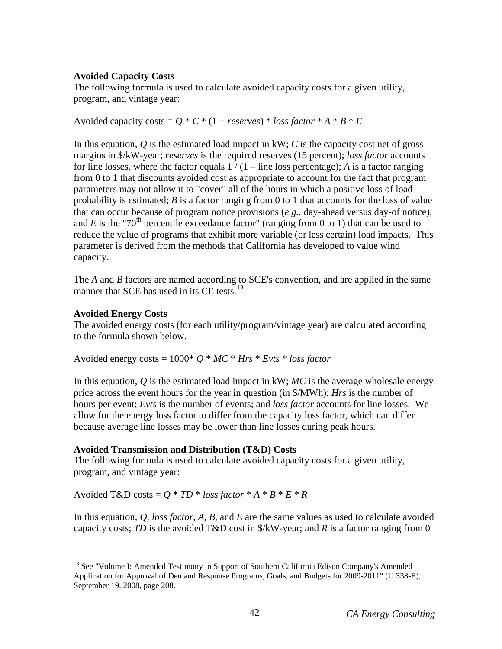## **Avoided Capacity Costs**

The following formula is used to calculate avoided capacity costs for a given utility, program, and vintage year:

Avoided capacity costs =  $Q * C * (1 + \text{reserves}) * \text{loss factor} * A * B * E$ 

In this equation, *Q* is the estimated load impact in kW; *C* is the capacity cost net of gross margins in \$/kW-year; *reserves* is the required reserves (15 percent); *loss factor* accounts for line losses, where the factor equals  $1/(1 - \text{line loss percentage})$ ; *A* is a factor ranging from 0 to 1 that discounts avoided cost as appropriate to account for the fact that program parameters may not allow it to "cover" all of the hours in which a positive loss of load probability is estimated; *B* is a factor ranging from 0 to 1 that accounts for the loss of value that can occur because of program notice provisions (*e.g.*, day-ahead versus day-of notice); and *E* is the "70<sup>th</sup> percentile exceedance factor" (ranging from 0 to 1) that can be used to reduce the value of programs that exhibit more variable (or less certain) load impacts. This parameter is derived from the methods that California has developed to value wind capacity.

The *A* and *B* factors are named according to SCE's convention, and are applied in the same manner that SCE has used in its CE tests.<sup>[13](#page-47-0)</sup>

## **Avoided Energy Costs**

The avoided energy costs (for each utility/program/vintage year) are calculated according to the formula shown below.

Avoided energy costs =  $1000^* Q * MC * Hrs * Evts * loss factor$ 

In this equation, *Q* is the estimated load impact in kW; *MC* is the average wholesale energy price across the event hours for the year in question (in \$/MWh); *Hrs* is the number of hours per event; *Evts* is the number of events; and *loss factor* accounts for line losses. We allow for the energy loss factor to differ from the capacity loss factor, which can differ because average line losses may be lower than line losses during peak hours.

## **Avoided Transmission and Distribution (T&D) Costs**

The following formula is used to calculate avoided capacity costs for a given utility, program, and vintage year:

Avoided T&D costs =  $Q * TD * loss factor * A * B * E * R$ 

In this equation, *Q*, *loss factor*, *A*, *B*, and *E* are the same values as used to calculate avoided capacity costs; *TD* is the avoided T&D cost in  $\frac{8}{k}$ W-year; and *R* is a factor ranging from 0

<span id="page-47-0"></span> $\overline{a}$ <sup>13</sup> See "Volume I: Amended Testimony in Support of Southern California Edison Company's Amended Application for Approval of Demand Response Programs, Goals, and Budgets for 2009-2011" (U 338-E), September 19, 2008, page 208.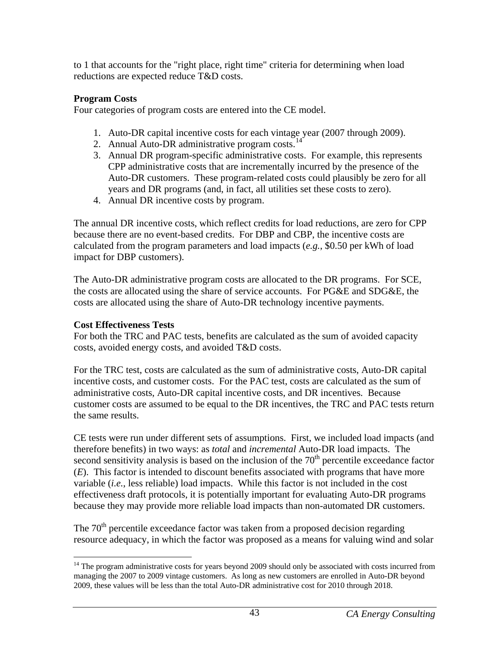to 1 that accounts for the "right place, right time" criteria for determining when load reductions are expected reduce T&D costs.

## **Program Costs**

Four categories of program costs are entered into the CE model.

- 1. Auto-DR capital incentive costs for each vintage year (2007 through 2009).
- 2. Annual Auto-DR administrative program costs.<sup>14</sup>
- 3. Annual DR program-specific administrative costs. For example, this represents CPP administrative costs that are incrementally incurred by the presence of the Auto-DR customers. These program-related costs could plausibly be zero for all years and DR programs (and, in fact, all utilities set these costs to zero).
- 4. Annual DR incentive costs by program.

The annual DR incentive costs, which reflect credits for load reductions, are zero for CPP because there are no event-based credits. For DBP and CBP, the incentive costs are calculated from the program parameters and load impacts (*e.g.*, \$0.50 per kWh of load impact for DBP customers).

The Auto-DR administrative program costs are allocated to the DR programs. For SCE, the costs are allocated using the share of service accounts. For PG&E and SDG&E, the costs are allocated using the share of Auto-DR technology incentive payments.

## **Cost Effectiveness Tests**

For both the TRC and PAC tests, benefits are calculated as the sum of avoided capacity costs, avoided energy costs, and avoided T&D costs.

For the TRC test, costs are calculated as the sum of administrative costs, Auto-DR capital incentive costs, and customer costs. For the PAC test, costs are calculated as the sum of administrative costs, Auto-DR capital incentive costs, and DR incentives. Because customer costs are assumed to be equal to the DR incentives, the TRC and PAC tests return the same results.

CE tests were run under different sets of assumptions. First, we included load impacts (and therefore benefits) in two ways: as *total* and *incremental* Auto-DR load impacts. The second sensitivity analysis is based on the inclusion of the  $70<sup>th</sup>$  percentile exceedance factor (*E*). This factor is intended to discount benefits associated with programs that have more variable (*i.e.*, less reliable) load impacts. While this factor is not included in the cost effectiveness draft protocols, it is potentially important for evaluating Auto-DR programs because they may provide more reliable load impacts than non-automated DR customers.

The  $70<sup>th</sup>$  percentile exceedance factor was taken from a proposed decision regarding resource adequacy, in which the factor was proposed as a means for valuing wind and solar

<span id="page-48-0"></span> $\overline{a}$ <sup>14</sup> The program administrative costs for years beyond 2009 should only be associated with costs incurred from managing the 2007 to 2009 vintage customers. As long as new customers are enrolled in Auto-DR beyond 2009, these values will be less than the total Auto-DR administrative cost for 2010 through 2018.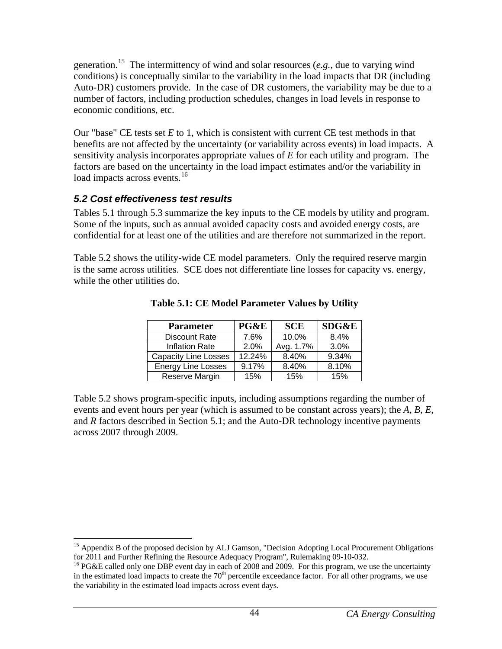<span id="page-49-0"></span>generation.[15](#page-49-3) The intermittency of wind and solar resources (*e.g.*, due to varying wind conditions) is conceptually similar to the variability in the load impacts that DR (including Auto-DR) customers provide. In the case of DR customers, the variability may be due to a number of factors, including production schedules, changes in load levels in response to economic conditions, etc.

Our "base" CE tests set *E* to 1, which is consistent with current CE test methods in that benefits are not affected by the uncertainty (or variability across events) in load impacts. A sensitivity analysis incorporates appropriate values of *E* for each utility and program. The factors are based on the uncertainty in the load impact estimates and/or the variability in load impacts across events.<sup>[16](#page-49-4)</sup>

## <span id="page-49-1"></span>*5.2 Cost effectiveness test results*

Tables 5.1 through 5.3 summarize the key inputs to the CE models by utility and program. Some of the inputs, such as annual avoided capacity costs and avoided energy costs, are confidential for at least one of the utilities and are therefore not summarized in the report.

<span id="page-49-2"></span>Table 5.2 shows the utility-wide CE model parameters. Only the required reserve margin is the same across utilities. SCE does not differentiate line losses for capacity vs. energy, while the other utilities do.

| <b>Parameter</b>            | PG&E   | <b>SCE</b> | <b>SDG&amp;E</b> |
|-----------------------------|--------|------------|------------------|
| <b>Discount Rate</b>        | 7.6%   | 10.0%      | 8.4%             |
| <b>Inflation Rate</b>       | 2.0%   | Avg. 1.7%  | 3.0%             |
| <b>Capacity Line Losses</b> | 12.24% | 8.40%      | 9.34%            |
| <b>Energy Line Losses</b>   | 9.17%  | 8.40%      | 8.10%            |
| Reserve Margin              | 15%    | 15%        | 15%              |

**Table 5.1: CE Model Parameter Values by Utility** 

Table 5.2 shows program-specific inputs, including assumptions regarding the number of events and event hours per year (which is assumed to be constant across years); the *A*, *B*, *E*, and *R* factors described in Section 5.1; and the Auto-DR technology incentive payments across 2007 through 2009.

<span id="page-49-3"></span> $\overline{a}$ <sup>15</sup> Appendix B of the proposed decision by ALJ Gamson, "Decision Adopting Local Procurement Obligations for 2011 and Further Refining the Resource Adequacy Program", Rulemaking 09-10-032.

<span id="page-49-4"></span><sup>&</sup>lt;sup>16</sup> PG&E called only one DBP event day in each of 2008 and 2009. For this program, we use the uncertainty in the estimated load impacts to create the 70<sup>th</sup> percentile exceedance factor. For all other programs, we use the variability in the estimated load impacts across event days.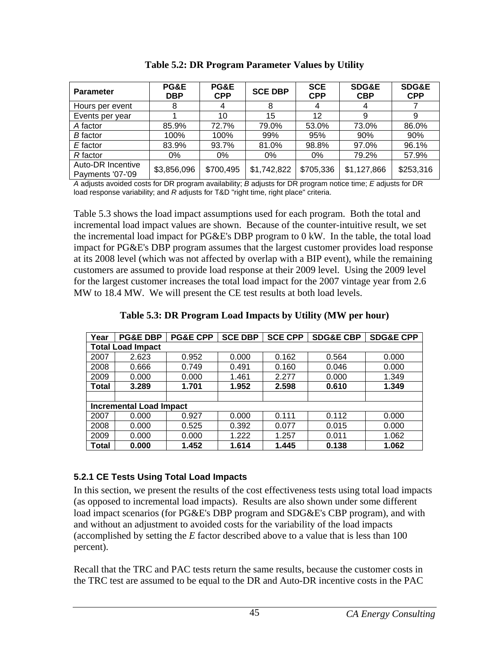<span id="page-50-2"></span><span id="page-50-0"></span>

| <b>Parameter</b>                      | <b>PG&amp;E</b><br><b>DBP</b> | PG&E<br><b>CPP</b> | <b>SCE DBP</b> | <b>SCE</b><br><b>CPP</b> | <b>SDG&amp;E</b><br><b>CBP</b> | <b>SDG&amp;E</b><br><b>CPP</b> |
|---------------------------------------|-------------------------------|--------------------|----------------|--------------------------|--------------------------------|--------------------------------|
| Hours per event                       | Ω                             | 4                  | 8              | 4                        |                                |                                |
| Events per year                       |                               | 10                 | 15             | 12                       | 9                              | 9                              |
| A factor                              | 85.9%                         | 72.7%              | 79.0%          | 53.0%                    | 73.0%                          | 86.0%                          |
| <b>B</b> factor                       | 100%                          | 100%               | 99%            | 95%                      | 90%                            | 90%                            |
| E factor                              | 83.9%                         | 93.7%              | 81.0%          | 98.8%                    | 97.0%                          | 96.1%                          |
| R factor                              | 0%                            | 0%                 | 0%             | 0%                       | 79.2%                          | 57.9%                          |
| Auto-DR Incentive<br>Payments '07-'09 | \$3,856,096                   | \$700,495          | \$1,742,822    | \$705,336                | \$1,127,866                    | \$253,316                      |

**Table 5.2: DR Program Parameter Values by Utility** 

*A* adjusts avoided costs for DR program availability; *B* adjusts for DR program notice time; *E* adjusts for DR load response variability; and *R* adjusts for T&D "right time, right place" criteria.

Table 5.3 shows the load impact assumptions used for each program. Both the total and incremental load impact values are shown. Because of the counter-intuitive result, we set the incremental load impact for PG&E's DBP program to 0 kW. In the table, the total load impact for PG&E's DBP program assumes that the largest customer provides load response at its 2008 level (which was not affected by overlap with a BIP event), while the remaining customers are assumed to provide load response at their 2009 level. Using the 2009 level for the largest customer increases the total load impact for the 2007 vintage year from 2.6 MW to 18.4 MW. We will present the CE test results at both load levels.

<span id="page-50-3"></span>

| Year                     | <b>PG&amp;E DBP</b>            | <b>PG&amp;E CPP</b> | <b>SCE DBP</b> | <b>SCE CPP</b> | <b>SDG&amp;E CBP</b> | <b>SDG&amp;E CPP</b> |
|--------------------------|--------------------------------|---------------------|----------------|----------------|----------------------|----------------------|
| <b>Total Load Impact</b> |                                |                     |                |                |                      |                      |
| 2007                     | 2.623                          | 0.952               | 0.000          | 0.162          | 0.564                | 0.000                |
| 2008                     | 0.666                          | 0.749               | 0.491          | 0.160          | 0.046                | 0.000                |
| 2009                     | 0.000                          | 0.000               | 1.461          | 2.277          | 0.000                | 1.349                |
| Total                    | 3.289                          | 1.701               | 1.952          | 2.598          | 0.610                | 1.349                |
|                          |                                |                     |                |                |                      |                      |
|                          | <b>Incremental Load Impact</b> |                     |                |                |                      |                      |
| 2007                     | 0.000                          | 0.927               | 0.000          | 0.111          | 0.112                | 0.000                |
| 2008                     | 0.000                          | 0.525               | 0.392          | 0.077          | 0.015                | 0.000                |
| 2009                     | 0.000                          | 0.000               | 1.222          | 1.257          | 0.011                | 1.062                |
| Total                    | 0.000                          | 1.452               | 1.614          | 1.445          | 0.138                | 1.062                |

**Table 5.3: DR Program Load Impacts by Utility (MW per hour)** 

## <span id="page-50-1"></span>**5.2.1 CE Tests Using Total Load Impacts**

In this section, we present the results of the cost effectiveness tests using total load impacts (as opposed to incremental load impacts). Results are also shown under some different load impact scenarios (for PG&E's DBP program and SDG&E's CBP program), and with and without an adjustment to avoided costs for the variability of the load impacts (accomplished by setting the *E* factor described above to a value that is less than 100 percent).

Recall that the TRC and PAC tests return the same results, because the customer costs in the TRC test are assumed to be equal to the DR and Auto-DR incentive costs in the PAC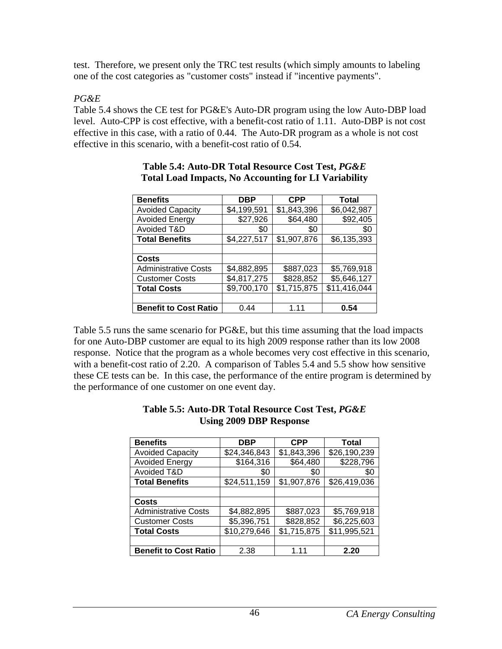<span id="page-51-0"></span>test. Therefore, we present only the TRC test results (which simply amounts to labeling one of the cost categories as "customer costs" instead if "incentive payments".

## *PG&E*

<span id="page-51-1"></span>Table 5.4 shows the CE test for PG&E's Auto-DR program using the low Auto-DBP load level. Auto-CPP is cost effective, with a benefit-cost ratio of 1.11. Auto-DBP is not cost effective in this case, with a ratio of 0.44. The Auto-DR program as a whole is not cost effective in this scenario, with a benefit-cost ratio of 0.54.

| <b>Benefits</b>              | <b>DBP</b>  | <b>CPP</b>  | Total        |
|------------------------------|-------------|-------------|--------------|
| <b>Avoided Capacity</b>      | \$4,199,591 | \$1,843,396 | \$6,042,987  |
| <b>Avoided Energy</b>        | \$27,926    | \$64,480    | \$92,405     |
| Avoided T&D                  | \$0         | \$0         | \$0          |
| <b>Total Benefits</b>        | \$4,227,517 | \$1,907,876 | \$6,135,393  |
|                              |             |             |              |
| Costs                        |             |             |              |
| <b>Administrative Costs</b>  | \$4,882,895 | \$887,023   | \$5,769,918  |
| <b>Customer Costs</b>        | \$4,817,275 | \$828,852   | \$5,646,127  |
| <b>Total Costs</b>           | \$9,700,170 | \$1,715,875 | \$11,416,044 |
|                              |             |             |              |
| <b>Benefit to Cost Ratio</b> | 0.44        | 1 1 1       | 0.54         |

#### **Table 5.4: Auto-DR Total Resource Cost Test,** *PG&E* **Total Load Impacts, No Accounting for LI Variability**

<span id="page-51-2"></span>Table 5.5 runs the same scenario for PG&E, but this time assuming that the load impacts for one Auto-DBP customer are equal to its high 2009 response rather than its low 2008 response. Notice that the program as a whole becomes very cost effective in this scenario, with a benefit-cost ratio of 2.20. A comparison of Tables 5.4 and 5.5 show how sensitive these CE tests can be. In this case, the performance of the entire program is determined by the performance of one customer on one event day.

| <b>Benefits</b>              | <b>DBP</b>   | <b>CPP</b>  | Total        |
|------------------------------|--------------|-------------|--------------|
| <b>Avoided Capacity</b>      | \$24,346,843 | \$1,843,396 | \$26,190,239 |
| <b>Avoided Energy</b>        | \$164,316    | \$64,480    | \$228,796    |
| Avoided T&D                  | \$0          | \$0         | \$0          |
| <b>Total Benefits</b>        | \$24,511,159 | \$1,907,876 | \$26,419,036 |
|                              |              |             |              |
| <b>Costs</b>                 |              |             |              |
| <b>Administrative Costs</b>  | \$4,882,895  | \$887,023   | \$5,769,918  |
| <b>Customer Costs</b>        | \$5,396,751  | \$828,852   | \$6,225,603  |
| <b>Total Costs</b>           | \$10,279,646 | \$1,715,875 | \$11,995,521 |
|                              |              |             |              |
| <b>Benefit to Cost Ratio</b> | 2.38         | 1 1 1       | 2.20         |

#### **Table 5.5: Auto-DR Total Resource Cost Test,** *PG&E* **Using 2009 DBP Response**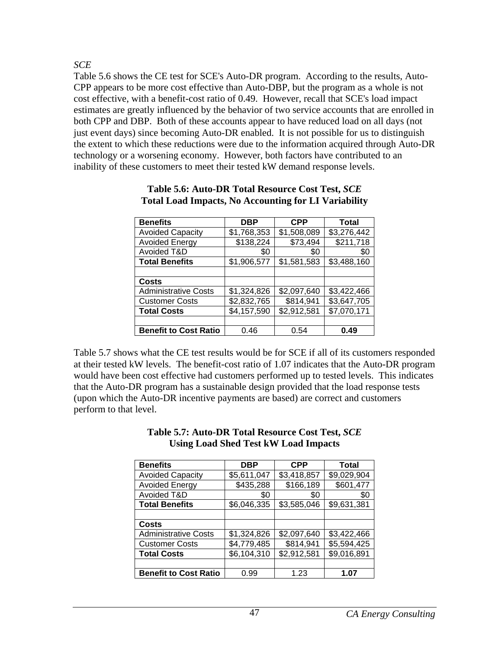<span id="page-52-0"></span>*SCE* 

<span id="page-52-1"></span>Table 5.6 shows the CE test for SCE's Auto-DR program. According to the results, Auto-CPP appears to be more cost effective than Auto-DBP, but the program as a whole is not cost effective, with a benefit-cost ratio of 0.49. However, recall that SCE's load impact estimates are greatly influenced by the behavior of two service accounts that are enrolled in both CPP and DBP. Both of these accounts appear to have reduced load on all days (not just event days) since becoming Auto-DR enabled. It is not possible for us to distinguish the extent to which these reductions were due to the information acquired through Auto-DR technology or a worsening economy. However, both factors have contributed to an inability of these customers to meet their tested kW demand response levels.

| <b>Benefits</b>              | DBP         | <b>CPP</b>  | Total                 |
|------------------------------|-------------|-------------|-----------------------|
| <b>Avoided Capacity</b>      | \$1,768,353 | \$1,508,089 | \$3,276,442           |
| <b>Avoided Energy</b>        | \$138,224   | \$73,494    | $\overline{$}211,718$ |
| Avoided T&D                  | \$0         | \$0         | \$0                   |
| <b>Total Benefits</b>        | \$1,906,577 | \$1,581,583 | \$3,488,160           |
|                              |             |             |                       |
| Costs                        |             |             |                       |
| <b>Administrative Costs</b>  | \$1,324,826 | \$2,097,640 | \$3,422,466           |
| <b>Customer Costs</b>        | \$2,832,765 | \$814,941   | \$3,647,705           |
| <b>Total Costs</b>           | \$4,157,590 | \$2,912,581 | \$7,070,171           |
|                              |             |             |                       |
| <b>Benefit to Cost Ratio</b> | 0.46        | 0.54        | 0.49                  |

#### **Table 5.6: Auto-DR Total Resource Cost Test,** *SCE* **Total Load Impacts, No Accounting for LI Variability**

<span id="page-52-2"></span>Table 5.7 shows what the CE test results would be for SCE if all of its customers responded at their tested kW levels. The benefit-cost ratio of 1.07 indicates that the Auto-DR program would have been cost effective had customers performed up to tested levels. This indicates that the Auto-DR program has a sustainable design provided that the load response tests (upon which the Auto-DR incentive payments are based) are correct and customers perform to that level.

| Come Louw once Test if I Louw impacts |             |             |             |
|---------------------------------------|-------------|-------------|-------------|
| <b>Benefits</b>                       | <b>DBP</b>  | <b>CPP</b>  | Total       |
| <b>Avoided Capacity</b>               | \$5,611,047 | \$3,418,857 | \$9,029,904 |
| <b>Avoided Energy</b>                 | \$435,288   | \$166,189   | \$601,477   |
| Avoided T&D                           | \$0         | \$0         | \$0         |
| <b>Total Benefits</b>                 | \$6,046,335 | \$3,585,046 | \$9,631,381 |
|                                       |             |             |             |
| <b>Costs</b>                          |             |             |             |
| <b>Administrative Costs</b>           | \$1,324,826 | \$2,097,640 | \$3,422,466 |
| <b>Customer Costs</b>                 | \$4,779,485 | \$814,941   | \$5,594,425 |

**Total Costs 1 \$6,104,310 \$2,912,581 \$9,016,891** 

**Benefit to Cost Ratio** | 0.99 | 1.23 | 1.07

#### **Table 5.7: Auto-DR Total Resource Cost Test,** *SCE* **Using Load Shed Test kW Load Impacts**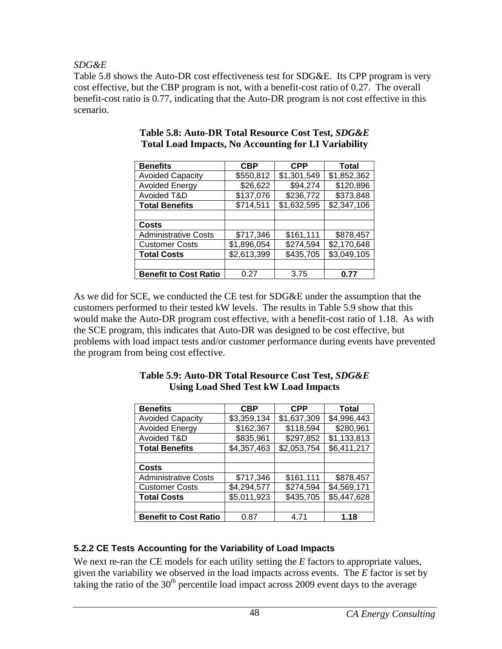<span id="page-53-0"></span>*SDG&E* 

<span id="page-53-2"></span>Table 5.8 shows the Auto-DR cost effectiveness test for SDG&E. Its CPP program is very cost effective, but the CBP program is not, with a benefit-cost ratio of 0.27. The overall benefit-cost ratio is 0.77, indicating that the Auto-DR program is not cost effective in this scenario.

| <b>Benefits</b>              | <b>CBP</b>  | <b>CPP</b>  | Total       |  |
|------------------------------|-------------|-------------|-------------|--|
| <b>Avoided Capacity</b>      | \$550,812   | \$1,301,549 | \$1,852,362 |  |
| <b>Avoided Energy</b>        | \$26,622    | \$94,274    | \$120,896   |  |
| Avoided T&D                  | \$137,076   | \$236,772   | \$373,848   |  |
| <b>Total Benefits</b>        | \$714,511   | \$1,632,595 | \$2,347,106 |  |
|                              |             |             |             |  |
| <b>Costs</b>                 |             |             |             |  |
| <b>Administrative Costs</b>  | \$717,346   | \$161,111   | \$878,457   |  |
| <b>Customer Costs</b>        | \$1,896,054 | \$274,594   | \$2,170,648 |  |
| <b>Total Costs</b>           | \$2,613,399 | \$435,705   | \$3,049,105 |  |
|                              |             |             |             |  |
| <b>Benefit to Cost Ratio</b> | 0.27        | 3.75        | 0.77        |  |

#### **Table 5.8: Auto-DR Total Resource Cost Test,** *SDG&E* **Total Load Impacts, No Accounting for LI Variability**

<span id="page-53-3"></span>As we did for SCE, we conducted the CE test for SDG&E under the assumption that the customers performed to their tested kW levels. The results in Table 5.9 show that this would make the Auto-DR program cost effective, with a benefit-cost ratio of 1.18. As with the SCE program, this indicates that Auto-DR was designed to be cost effective, but problems with load impact tests and/or customer performance during events have prevented the program from being cost effective.

| <b>Benefits</b>              | <b>CBP</b>  | <b>CPP</b>  | Total       |
|------------------------------|-------------|-------------|-------------|
| <b>Avoided Capacity</b>      | \$3,359,134 | \$1,637,309 | \$4,996,443 |
| <b>Avoided Energy</b>        | \$162,367   | \$118,594   | \$280,961   |
| Avoided T&D                  | \$835,961   | \$297,852   | \$1,133,813 |
| <b>Total Benefits</b>        | \$4,357,463 | \$2,053,754 | \$6,411,217 |
|                              |             |             |             |
| Costs                        |             |             |             |
| <b>Administrative Costs</b>  | \$717,346   | \$161,111   | \$878,457   |
| <b>Customer Costs</b>        | \$4,294,577 | \$274,594   | \$4,569,171 |
| <b>Total Costs</b>           | \$5,011,923 | \$435,705   | \$5,447,628 |
|                              |             |             |             |
| <b>Benefit to Cost Ratio</b> | 0.87        | 4.71        | 1.18        |

#### **Table 5.9: Auto-DR Total Resource Cost Test,** *SDG&E* **Using Load Shed Test kW Load Impacts**

# <span id="page-53-1"></span>**5.2.2 CE Tests Accounting for the Variability of Load Impacts**

We next re-ran the CE models for each utility setting the *E* factors to appropriate values, given the variability we observed in the load impacts across events. The *E* factor is set by taking the ratio of the  $30<sup>th</sup>$  percentile load impact across 2009 event days to the average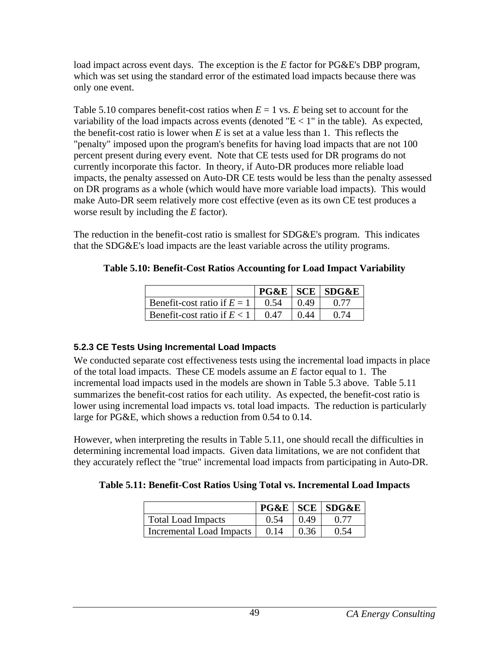<span id="page-54-0"></span>load impact across event days. The exception is the *E* factor for PG&E's DBP program, which was set using the standard error of the estimated load impacts because there was only one event.

Table 5.10 compares benefit-cost ratios when  $E = 1$  vs. *E* being set to account for the variability of the load impacts across events (denoted " $E < 1$ " in the table). As expected, the benefit-cost ratio is lower when  $E$  is set at a value less than 1. This reflects the "penalty" imposed upon the program's benefits for having load impacts that are not 100 percent present during every event. Note that CE tests used for DR programs do not currently incorporate this factor. In theory, if Auto-DR produces more reliable load impacts, the penalty assessed on Auto-DR CE tests would be less than the penalty assessed on DR programs as a whole (which would have more variable load impacts). This would make Auto-DR seem relatively more cost effective (even as its own CE test produces a worse result by including the *E* factor).

<span id="page-54-2"></span>The reduction in the benefit-cost ratio is smallest for SDG&E's program. This indicates that the SDG&E's load impacts are the least variable across the utility programs.

| Table 5.10: Benefit-Cost Ratios Accounting for Load Impact Variability |  |  |  |
|------------------------------------------------------------------------|--|--|--|
|                                                                        |  |  |  |

|                               |      |      | $PG\&E$ SCE SDG&E |
|-------------------------------|------|------|-------------------|
| Benefit-cost ratio if $E = 1$ | 0.54 | 0.49 |                   |
| Benefit-cost ratio if $E < 1$ | 0.47 |      |                   |

## <span id="page-54-1"></span>**5.2.3 CE Tests Using Incremental Load Impacts**

We conducted separate cost effectiveness tests using the incremental load impacts in place of the total load impacts. These CE models assume an *E* factor equal to 1. The incremental load impacts used in the models are shown in Table 5.3 above. Table 5.11 summarizes the benefit-cost ratios for each utility. As expected, the benefit-cost ratio is lower using incremental load impacts vs. total load impacts. The reduction is particularly large for PG&E, which shows a reduction from 0.54 to 0.14.

<span id="page-54-3"></span>However, when interpreting the results in Table 5.11, one should recall the difficulties in determining incremental load impacts. Given data limitations, we are not confident that they accurately reflect the "true" incremental load impacts from participating in Auto-DR.

## **Table 5.11: Benefit-Cost Ratios Using Total vs. Incremental Load Impacts**

|                           |      |      | $PG\&E$ SCE SDG&E |
|---------------------------|------|------|-------------------|
| <b>Total Load Impacts</b> | 0.54 | 0.49 |                   |
| Incremental Load Impacts  | 0.14 |      |                   |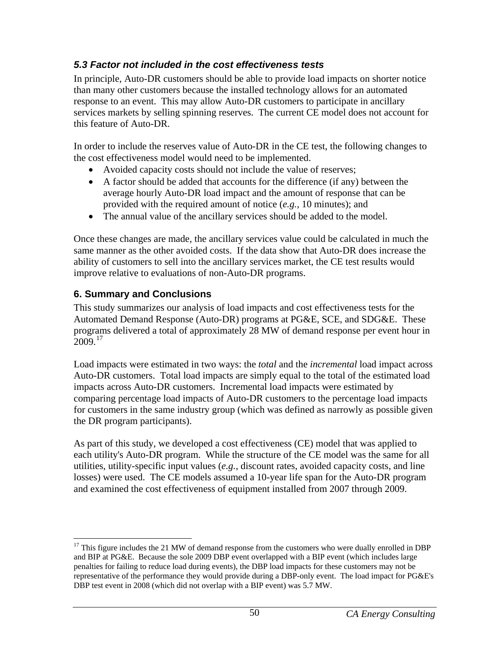# <span id="page-55-1"></span><span id="page-55-0"></span>*5.3 Factor not included in the cost effectiveness tests*

In principle, Auto-DR customers should be able to provide load impacts on shorter notice than many other customers because the installed technology allows for an automated response to an event. This may allow Auto-DR customers to participate in ancillary services markets by selling spinning reserves. The current CE model does not account for this feature of Auto-DR.

In order to include the reserves value of Auto-DR in the CE test, the following changes to the cost effectiveness model would need to be implemented.

- Avoided capacity costs should not include the value of reserves;
- A factor should be added that accounts for the difference (if any) between the average hourly Auto-DR load impact and the amount of response that can be provided with the required amount of notice (*e.g.*, 10 minutes); and
- The annual value of the ancillary services should be added to the model.

Once these changes are made, the ancillary services value could be calculated in much the same manner as the other avoided costs. If the data show that Auto-DR does increase the ability of customers to sell into the ancillary services market, the CE test results would improve relative to evaluations of non-Auto-DR programs.

## <span id="page-55-2"></span>**6. Summary and Conclusions**

 $\overline{a}$ 

This study summarizes our analysis of load impacts and cost effectiveness tests for the Automated Demand Response (Auto-DR) programs at PG&E, SCE, and SDG&E. These programs delivered a total of approximately 28 MW of demand response per event hour in  $2009^{17}$ 

Load impacts were estimated in two ways: the *total* and the *incremental* load impact across Auto-DR customers. Total load impacts are simply equal to the total of the estimated load impacts across Auto-DR customers. Incremental load impacts were estimated by comparing percentage load impacts of Auto-DR customers to the percentage load impacts for customers in the same industry group (which was defined as narrowly as possible given the DR program participants).

As part of this study, we developed a cost effectiveness (CE) model that was applied to each utility's Auto-DR program. While the structure of the CE model was the same for all utilities, utility-specific input values (*e.g.*, discount rates, avoided capacity costs, and line losses) were used. The CE models assumed a 10-year life span for the Auto-DR program and examined the cost effectiveness of equipment installed from 2007 through 2009.

<span id="page-55-3"></span> $17$  This figure includes the 21 MW of demand response from the customers who were dually enrolled in DBP and BIP at PG&E. Because the sole 2009 DBP event overlapped with a BIP event (which includes large penalties for failing to reduce load during events), the DBP load impacts for these customers may not be representative of the performance they would provide during a DBP-only event. The load impact for PG&E's DBP test event in 2008 (which did not overlap with a BIP event) was 5.7 MW.